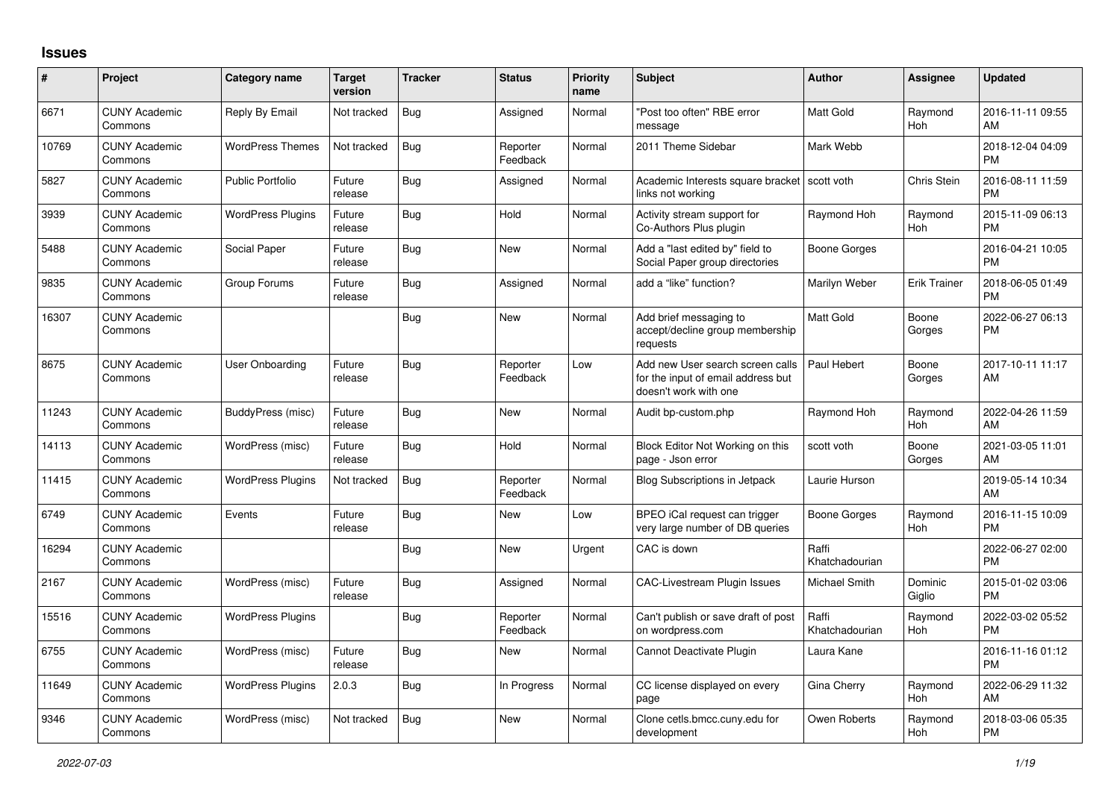## **Issues**

| #     | Project                         | <b>Category name</b>     | <b>Target</b><br>version | <b>Tracker</b> | <b>Status</b>        | Priority<br>name | <b>Subject</b>                                                                                  | <b>Author</b>           | <b>Assignee</b>   | <b>Updated</b>                |
|-------|---------------------------------|--------------------------|--------------------------|----------------|----------------------|------------------|-------------------------------------------------------------------------------------------------|-------------------------|-------------------|-------------------------------|
| 6671  | <b>CUNY Academic</b><br>Commons | Reply By Email           | Not tracked              | Bug            | Assigned             | Normal           | "Post too often" RBE error<br>message                                                           | <b>Matt Gold</b>        | Raymond<br>Hoh    | 2016-11-11 09:55<br>AM        |
| 10769 | <b>CUNY Academic</b><br>Commons | <b>WordPress Themes</b>  | Not tracked              | Bug            | Reporter<br>Feedback | Normal           | 2011 Theme Sidebar                                                                              | Mark Webb               |                   | 2018-12-04 04:09<br><b>PM</b> |
| 5827  | <b>CUNY Academic</b><br>Commons | <b>Public Portfolio</b>  | Future<br>release        | <b>Bug</b>     | Assigned             | Normal           | Academic Interests square bracket<br>links not working                                          | scott voth              | Chris Stein       | 2016-08-11 11:59<br><b>PM</b> |
| 3939  | <b>CUNY Academic</b><br>Commons | <b>WordPress Plugins</b> | Future<br>release        | <b>Bug</b>     | Hold                 | Normal           | Activity stream support for<br>Co-Authors Plus plugin                                           | Raymond Hoh             | Raymond<br>Hoh    | 2015-11-09 06:13<br><b>PM</b> |
| 5488  | <b>CUNY Academic</b><br>Commons | Social Paper             | Future<br>release        | <b>Bug</b>     | <b>New</b>           | Normal           | Add a "last edited by" field to<br>Social Paper group directories                               | Boone Gorges            |                   | 2016-04-21 10:05<br><b>PM</b> |
| 9835  | <b>CUNY Academic</b><br>Commons | Group Forums             | Future<br>release        | Bug            | Assigned             | Normal           | add a "like" function?                                                                          | Marilyn Weber           | Erik Trainer      | 2018-06-05 01:49<br><b>PM</b> |
| 16307 | <b>CUNY Academic</b><br>Commons |                          |                          | Bug            | New                  | Normal           | Add brief messaging to<br>accept/decline group membership<br>requests                           | <b>Matt Gold</b>        | Boone<br>Gorges   | 2022-06-27 06:13<br><b>PM</b> |
| 8675  | <b>CUNY Academic</b><br>Commons | User Onboarding          | Future<br>release        | Bug            | Reporter<br>Feedback | Low              | Add new User search screen calls<br>for the input of email address but<br>doesn't work with one | Paul Hebert             | Boone<br>Gorges   | 2017-10-11 11:17<br>AM        |
| 11243 | <b>CUNY Academic</b><br>Commons | BuddyPress (misc)        | Future<br>release        | Bug            | New                  | Normal           | Audit bp-custom.php                                                                             | Raymond Hoh             | Raymond<br>Hoh    | 2022-04-26 11:59<br>AM        |
| 14113 | <b>CUNY Academic</b><br>Commons | WordPress (misc)         | Future<br>release        | Bug            | Hold                 | Normal           | Block Editor Not Working on this<br>page - Json error                                           | scott voth              | Boone<br>Gorges   | 2021-03-05 11:01<br>AM        |
| 11415 | <b>CUNY Academic</b><br>Commons | <b>WordPress Plugins</b> | Not tracked              | <b>Bug</b>     | Reporter<br>Feedback | Normal           | Blog Subscriptions in Jetpack                                                                   | Laurie Hurson           |                   | 2019-05-14 10:34<br>AM        |
| 6749  | <b>CUNY Academic</b><br>Commons | Events                   | Future<br>release        | <b>Bug</b>     | <b>New</b>           | Low              | BPEO iCal request can trigger<br>very large number of DB queries                                | <b>Boone Gorges</b>     | Raymond<br>Hoh    | 2016-11-15 10:09<br><b>PM</b> |
| 16294 | <b>CUNY Academic</b><br>Commons |                          |                          | Bug            | <b>New</b>           | Urgent           | CAC is down                                                                                     | Raffi<br>Khatchadourian |                   | 2022-06-27 02:00<br><b>PM</b> |
| 2167  | <b>CUNY Academic</b><br>Commons | WordPress (misc)         | Future<br>release        | Bug            | Assigned             | Normal           | <b>CAC-Livestream Plugin Issues</b>                                                             | Michael Smith           | Dominic<br>Giglio | 2015-01-02 03:06<br><b>PM</b> |
| 15516 | <b>CUNY Academic</b><br>Commons | <b>WordPress Plugins</b> |                          | Bug            | Reporter<br>Feedback | Normal           | Can't publish or save draft of post<br>on wordpress.com                                         | Raffi<br>Khatchadourian | Raymond<br>Hoh    | 2022-03-02 05:52<br><b>PM</b> |
| 6755  | <b>CUNY Academic</b><br>Commons | WordPress (misc)         | Future<br>release        | <b>Bug</b>     | New                  | Normal           | Cannot Deactivate Plugin                                                                        | Laura Kane              |                   | 2016-11-16 01:12<br><b>PM</b> |
| 11649 | <b>CUNY Academic</b><br>Commons | <b>WordPress Plugins</b> | 2.0.3                    | <b>Bug</b>     | In Progress          | Normal           | CC license displayed on every<br>page                                                           | Gina Cherry             | Raymond<br>Hoh    | 2022-06-29 11:32<br>AM        |
| 9346  | <b>CUNY Academic</b><br>Commons | WordPress (misc)         | Not tracked              | Bug            | <b>New</b>           | Normal           | Clone cetls.bmcc.cuny.edu for<br>development                                                    | Owen Roberts            | Raymond<br>Hoh    | 2018-03-06 05:35<br><b>PM</b> |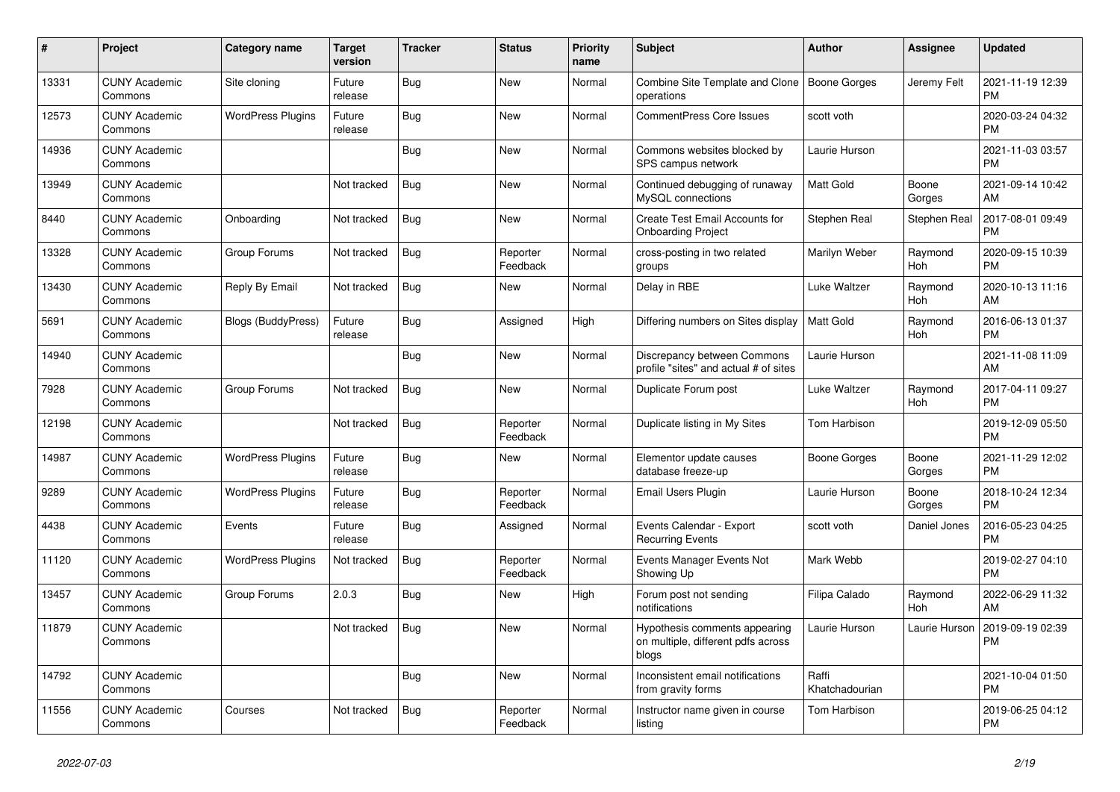| #     | <b>Project</b>                  | Category name            | Target<br>version | <b>Tracker</b> | <b>Status</b>        | <b>Priority</b><br>name | <b>Subject</b>                                                               | <b>Author</b>           | Assignee        | <b>Updated</b>                |
|-------|---------------------------------|--------------------------|-------------------|----------------|----------------------|-------------------------|------------------------------------------------------------------------------|-------------------------|-----------------|-------------------------------|
| 13331 | <b>CUNY Academic</b><br>Commons | Site cloning             | Future<br>release | Bug            | New                  | Normal                  | Combine Site Template and Clone<br>operations                                | Boone Gorges            | Jeremy Felt     | 2021-11-19 12:39<br><b>PM</b> |
| 12573 | <b>CUNY Academic</b><br>Commons | <b>WordPress Plugins</b> | Future<br>release | Bug            | <b>New</b>           | Normal                  | <b>CommentPress Core Issues</b>                                              | scott voth              |                 | 2020-03-24 04:32<br><b>PM</b> |
| 14936 | <b>CUNY Academic</b><br>Commons |                          |                   | Bug            | New                  | Normal                  | Commons websites blocked by<br>SPS campus network                            | Laurie Hurson           |                 | 2021-11-03 03:57<br><b>PM</b> |
| 13949 | <b>CUNY Academic</b><br>Commons |                          | Not tracked       | <b>Bug</b>     | <b>New</b>           | Normal                  | Continued debugging of runaway<br>MySQL connections                          | <b>Matt Gold</b>        | Boone<br>Gorges | 2021-09-14 10:42<br><b>AM</b> |
| 8440  | <b>CUNY Academic</b><br>Commons | Onboarding               | Not tracked       | <b>Bug</b>     | New                  | Normal                  | Create Test Email Accounts for<br><b>Onboarding Project</b>                  | Stephen Real            | Stephen Real    | 2017-08-01 09:49<br><b>PM</b> |
| 13328 | <b>CUNY Academic</b><br>Commons | Group Forums             | Not tracked       | Bug            | Reporter<br>Feedback | Normal                  | cross-posting in two related<br>groups                                       | Marilyn Weber           | Raymond<br>Hoh  | 2020-09-15 10:39<br><b>PM</b> |
| 13430 | <b>CUNY Academic</b><br>Commons | Reply By Email           | Not tracked       | <b>Bug</b>     | <b>New</b>           | Normal                  | Delay in RBE                                                                 | Luke Waltzer            | Raymond<br>Hoh  | 2020-10-13 11:16<br>AM        |
| 5691  | <b>CUNY Academic</b><br>Commons | Blogs (BuddyPress)       | Future<br>release | Bug            | Assigned             | High                    | Differing numbers on Sites display                                           | <b>Matt Gold</b>        | Raymond<br>Hoh  | 2016-06-13 01:37<br><b>PM</b> |
| 14940 | <b>CUNY Academic</b><br>Commons |                          |                   | Bug            | New                  | Normal                  | Discrepancy between Commons<br>profile "sites" and actual # of sites         | Laurie Hurson           |                 | 2021-11-08 11:09<br>AM        |
| 7928  | <b>CUNY Academic</b><br>Commons | Group Forums             | Not tracked       | <b>Bug</b>     | New                  | Normal                  | Duplicate Forum post                                                         | Luke Waltzer            | Raymond<br>Hoh  | 2017-04-11 09:27<br><b>PM</b> |
| 12198 | <b>CUNY Academic</b><br>Commons |                          | Not tracked       | Bug            | Reporter<br>Feedback | Normal                  | Duplicate listing in My Sites                                                | Tom Harbison            |                 | 2019-12-09 05:50<br><b>PM</b> |
| 14987 | <b>CUNY Academic</b><br>Commons | <b>WordPress Plugins</b> | Future<br>release | <b>Bug</b>     | New                  | Normal                  | Elementor update causes<br>database freeze-up                                | Boone Gorges            | Boone<br>Gorges | 2021-11-29 12:02<br><b>PM</b> |
| 9289  | <b>CUNY Academic</b><br>Commons | <b>WordPress Plugins</b> | Future<br>release | Bug            | Reporter<br>Feedback | Normal                  | Email Users Plugin                                                           | Laurie Hurson           | Boone<br>Gorges | 2018-10-24 12:34<br><b>PM</b> |
| 4438  | <b>CUNY Academic</b><br>Commons | Events                   | Future<br>release | Bug            | Assigned             | Normal                  | Events Calendar - Export<br><b>Recurring Events</b>                          | scott voth              | Daniel Jones    | 2016-05-23 04:25<br><b>PM</b> |
| 11120 | <b>CUNY Academic</b><br>Commons | <b>WordPress Plugins</b> | Not tracked       | <b>Bug</b>     | Reporter<br>Feedback | Normal                  | Events Manager Events Not<br>Showing Up                                      | Mark Webb               |                 | 2019-02-27 04:10<br><b>PM</b> |
| 13457 | <b>CUNY Academic</b><br>Commons | Group Forums             | 2.0.3             | Bug            | New                  | High                    | Forum post not sending<br>notifications                                      | Filipa Calado           | Raymond<br>Hoh  | 2022-06-29 11:32<br>AM        |
| 11879 | <b>CUNY Academic</b><br>Commons |                          | Not tracked       | Bug            | <b>New</b>           | Normal                  | Hypothesis comments appearing<br>on multiple, different pdfs across<br>blogs | Laurie Hurson           | Laurie Hurson   | 2019-09-19 02:39<br><b>PM</b> |
| 14792 | <b>CUNY Academic</b><br>Commons |                          |                   | Bug            | New                  | Normal                  | Inconsistent email notifications<br>from gravity forms                       | Raffi<br>Khatchadourian |                 | 2021-10-04 01:50<br><b>PM</b> |
| 11556 | <b>CUNY Academic</b><br>Commons | Courses                  | Not tracked       | <b>Bug</b>     | Reporter<br>Feedback | Normal                  | Instructor name given in course<br>listing                                   | Tom Harbison            |                 | 2019-06-25 04:12<br><b>PM</b> |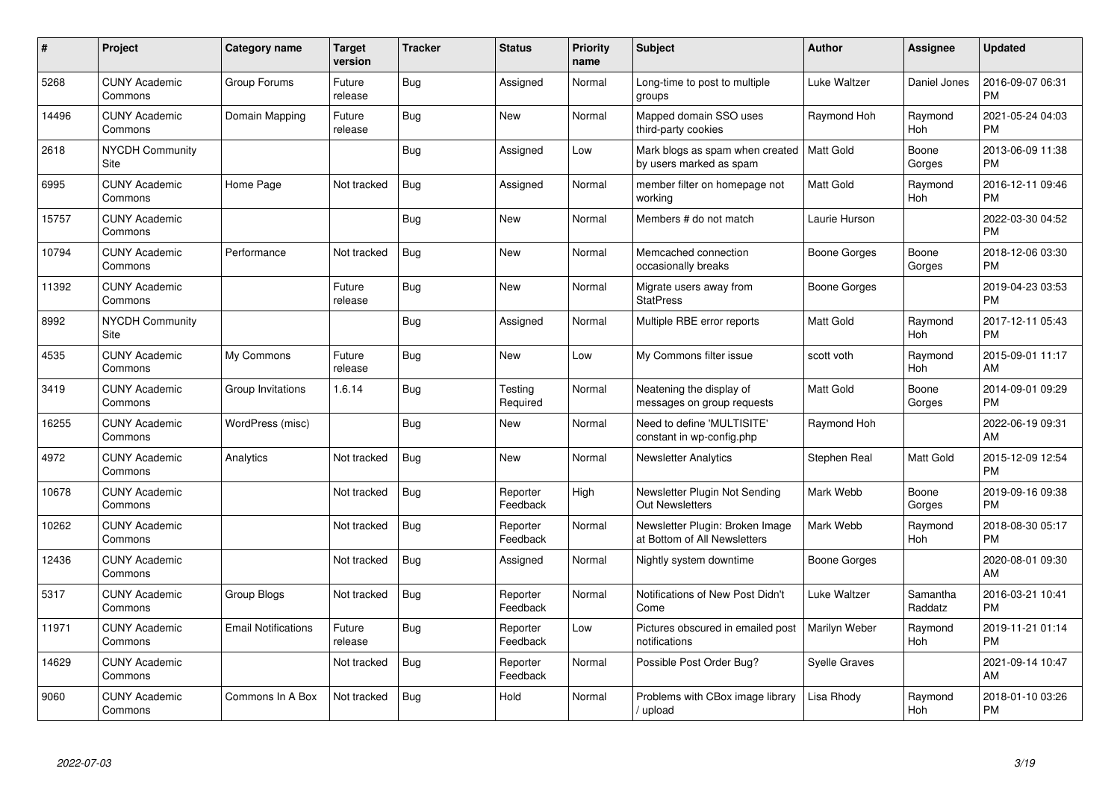| #     | Project                         | <b>Category name</b>       | <b>Target</b><br>version | <b>Tracker</b> | <b>Status</b>        | <b>Priority</b><br>name | <b>Subject</b>                                                  | <b>Author</b>        | <b>Assignee</b>     | <b>Updated</b>                |
|-------|---------------------------------|----------------------------|--------------------------|----------------|----------------------|-------------------------|-----------------------------------------------------------------|----------------------|---------------------|-------------------------------|
| 5268  | <b>CUNY Academic</b><br>Commons | Group Forums               | Future<br>release        | Bug            | Assigned             | Normal                  | Long-time to post to multiple<br>groups                         | Luke Waltzer         | Daniel Jones        | 2016-09-07 06:31<br><b>PM</b> |
| 14496 | <b>CUNY Academic</b><br>Commons | Domain Mapping             | Future<br>release        | <b>Bug</b>     | <b>New</b>           | Normal                  | Mapped domain SSO uses<br>third-party cookies                   | Raymond Hoh          | Raymond<br>Hoh      | 2021-05-24 04:03<br><b>PM</b> |
| 2618  | NYCDH Community<br>Site         |                            |                          | Bug            | Assigned             | Low                     | Mark blogs as spam when created<br>by users marked as spam      | l Matt Gold          | Boone<br>Gorges     | 2013-06-09 11:38<br><b>PM</b> |
| 6995  | <b>CUNY Academic</b><br>Commons | Home Page                  | Not tracked              | Bug            | Assigned             | Normal                  | member filter on homepage not<br>working                        | <b>Matt Gold</b>     | Raymond<br>Hoh      | 2016-12-11 09:46<br><b>PM</b> |
| 15757 | <b>CUNY Academic</b><br>Commons |                            |                          | <b>Bug</b>     | <b>New</b>           | Normal                  | Members # do not match                                          | Laurie Hurson        |                     | 2022-03-30 04:52<br><b>PM</b> |
| 10794 | <b>CUNY Academic</b><br>Commons | Performance                | Not tracked              | Bug            | <b>New</b>           | Normal                  | Memcached connection<br>occasionally breaks                     | Boone Gorges         | Boone<br>Gorges     | 2018-12-06 03:30<br><b>PM</b> |
| 11392 | <b>CUNY Academic</b><br>Commons |                            | Future<br>release        | <b>Bug</b>     | <b>New</b>           | Normal                  | Migrate users away from<br><b>StatPress</b>                     | Boone Gorges         |                     | 2019-04-23 03:53<br><b>PM</b> |
| 8992  | <b>NYCDH Community</b><br>Site  |                            |                          | Bug            | Assigned             | Normal                  | Multiple RBE error reports                                      | <b>Matt Gold</b>     | Raymond<br>Hoh      | 2017-12-11 05:43<br><b>PM</b> |
| 4535  | <b>CUNY Academic</b><br>Commons | My Commons                 | Future<br>release        | <b>Bug</b>     | <b>New</b>           | Low                     | My Commons filter issue                                         | scott voth           | Raymond<br>Hoh      | 2015-09-01 11:17<br>AM        |
| 3419  | <b>CUNY Academic</b><br>Commons | Group Invitations          | 1.6.14                   | <b>Bug</b>     | Testing<br>Required  | Normal                  | Neatening the display of<br>messages on group requests          | <b>Matt Gold</b>     | Boone<br>Gorges     | 2014-09-01 09:29<br><b>PM</b> |
| 16255 | <b>CUNY Academic</b><br>Commons | WordPress (misc)           |                          | Bug            | New                  | Normal                  | Need to define 'MULTISITE'<br>constant in wp-config.php         | Raymond Hoh          |                     | 2022-06-19 09:31<br>AM        |
| 4972  | <b>CUNY Academic</b><br>Commons | Analytics                  | Not tracked              | Bug            | <b>New</b>           | Normal                  | Newsletter Analytics                                            | Stephen Real         | Matt Gold           | 2015-12-09 12:54<br><b>PM</b> |
| 10678 | <b>CUNY Academic</b><br>Commons |                            | Not tracked              | Bug            | Reporter<br>Feedback | High                    | Newsletter Plugin Not Sending<br><b>Out Newsletters</b>         | Mark Webb            | Boone<br>Gorges     | 2019-09-16 09:38<br><b>PM</b> |
| 10262 | <b>CUNY Academic</b><br>Commons |                            | Not tracked              | Bug            | Reporter<br>Feedback | Normal                  | Newsletter Plugin: Broken Image<br>at Bottom of All Newsletters | Mark Webb            | Raymond<br>Hoh      | 2018-08-30 05:17<br><b>PM</b> |
| 12436 | <b>CUNY Academic</b><br>Commons |                            | Not tracked              | Bug            | Assigned             | Normal                  | Nightly system downtime                                         | Boone Gorges         |                     | 2020-08-01 09:30<br>AM        |
| 5317  | <b>CUNY Academic</b><br>Commons | Group Blogs                | Not tracked              | <b>Bug</b>     | Reporter<br>Feedback | Normal                  | Notifications of New Post Didn't<br>Come                        | Luke Waltzer         | Samantha<br>Raddatz | 2016-03-21 10:41<br><b>PM</b> |
| 11971 | <b>CUNY Academic</b><br>Commons | <b>Email Notifications</b> | Future<br>release        | <b>Bug</b>     | Reporter<br>Feedback | Low                     | Pictures obscured in emailed post<br>notifications              | Marilyn Weber        | Raymond<br>Hoh      | 2019-11-21 01:14<br><b>PM</b> |
| 14629 | <b>CUNY Academic</b><br>Commons |                            | Not tracked              | Bug            | Reporter<br>Feedback | Normal                  | Possible Post Order Bug?                                        | <b>Syelle Graves</b> |                     | 2021-09-14 10:47<br>AM        |
| 9060  | <b>CUNY Academic</b><br>Commons | Commons In A Box           | Not tracked              | <b>Bug</b>     | Hold                 | Normal                  | Problems with CBox image library<br>/ upload                    | Lisa Rhody           | Raymond<br>Hoh      | 2018-01-10 03:26<br><b>PM</b> |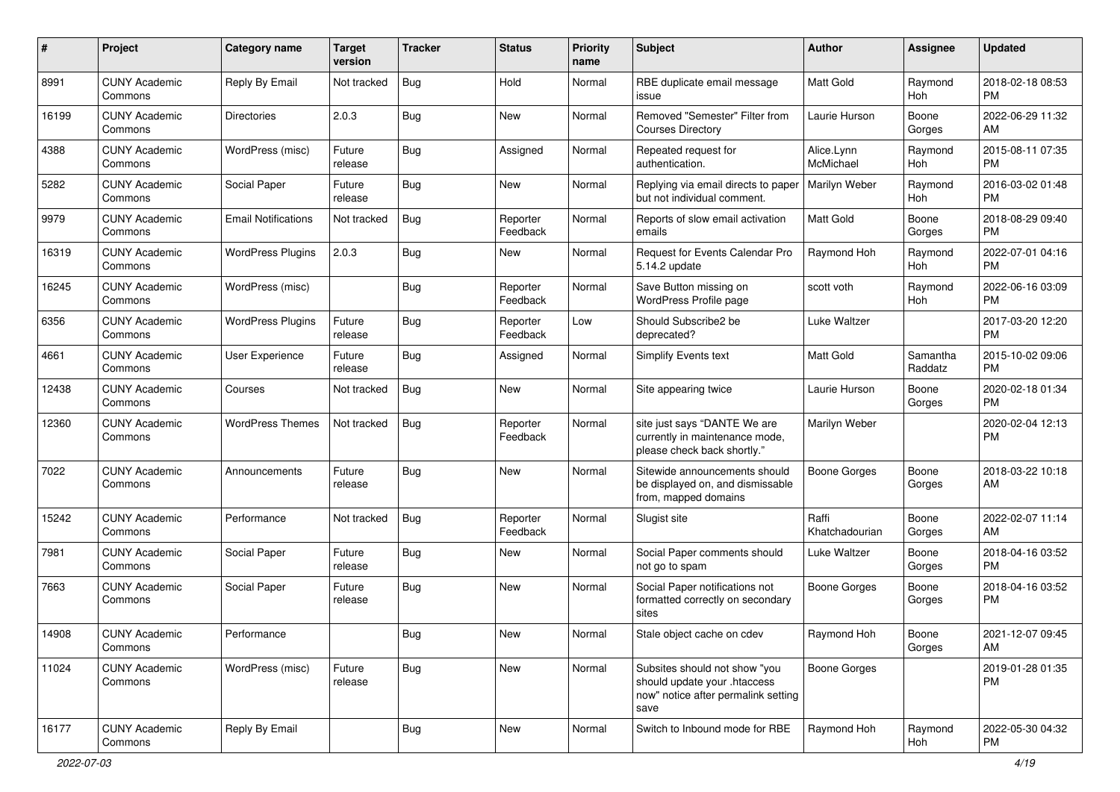| #     | Project                         | <b>Category name</b>       | <b>Target</b><br>version | <b>Tracker</b> | <b>Status</b>        | <b>Priority</b><br>name | Subject                                                                                                      | Author                  | Assignee            | <b>Updated</b>                |
|-------|---------------------------------|----------------------------|--------------------------|----------------|----------------------|-------------------------|--------------------------------------------------------------------------------------------------------------|-------------------------|---------------------|-------------------------------|
| 8991  | <b>CUNY Academic</b><br>Commons | Reply By Email             | Not tracked              | Bug            | Hold                 | Normal                  | RBE duplicate email message<br>issue                                                                         | <b>Matt Gold</b>        | Raymond<br>Hoh      | 2018-02-18 08:53<br><b>PM</b> |
| 16199 | <b>CUNY Academic</b><br>Commons | <b>Directories</b>         | 2.0.3                    | Bug            | New                  | Normal                  | Removed "Semester" Filter from<br><b>Courses Directory</b>                                                   | Laurie Hurson           | Boone<br>Gorges     | 2022-06-29 11:32<br>AM        |
| 4388  | <b>CUNY Academic</b><br>Commons | WordPress (misc)           | Future<br>release        | Bug            | Assigned             | Normal                  | Repeated request for<br>authentication.                                                                      | Alice.Lynn<br>McMichael | Raymond<br>Hoh      | 2015-08-11 07:35<br><b>PM</b> |
| 5282  | <b>CUNY Academic</b><br>Commons | Social Paper               | Future<br>release        | Bug            | <b>New</b>           | Normal                  | Replying via email directs to paper<br>but not individual comment.                                           | Marilyn Weber           | Raymond<br>Hoh      | 2016-03-02 01:48<br><b>PM</b> |
| 9979  | <b>CUNY Academic</b><br>Commons | <b>Email Notifications</b> | Not tracked              | Bug            | Reporter<br>Feedback | Normal                  | Reports of slow email activation<br>emails                                                                   | <b>Matt Gold</b>        | Boone<br>Gorges     | 2018-08-29 09:40<br><b>PM</b> |
| 16319 | <b>CUNY Academic</b><br>Commons | <b>WordPress Plugins</b>   | 2.0.3                    | Bug            | New                  | Normal                  | Request for Events Calendar Pro<br>5.14.2 update                                                             | Raymond Hoh             | Raymond<br>Hoh      | 2022-07-01 04:16<br><b>PM</b> |
| 16245 | <b>CUNY Academic</b><br>Commons | WordPress (misc)           |                          | Bug            | Reporter<br>Feedback | Normal                  | Save Button missing on<br>WordPress Profile page                                                             | scott voth              | Raymond<br>Hoh      | 2022-06-16 03:09<br><b>PM</b> |
| 6356  | <b>CUNY Academic</b><br>Commons | <b>WordPress Plugins</b>   | Future<br>release        | Bug            | Reporter<br>Feedback | Low                     | Should Subscribe2 be<br>deprecated?                                                                          | Luke Waltzer            |                     | 2017-03-20 12:20<br><b>PM</b> |
| 4661  | <b>CUNY Academic</b><br>Commons | <b>User Experience</b>     | Future<br>release        | Bug            | Assigned             | Normal                  | Simplify Events text                                                                                         | <b>Matt Gold</b>        | Samantha<br>Raddatz | 2015-10-02 09:06<br><b>PM</b> |
| 12438 | <b>CUNY Academic</b><br>Commons | Courses                    | Not tracked              | Bug            | New                  | Normal                  | Site appearing twice                                                                                         | Laurie Hurson           | Boone<br>Gorges     | 2020-02-18 01:34<br><b>PM</b> |
| 12360 | <b>CUNY Academic</b><br>Commons | <b>WordPress Themes</b>    | Not tracked              | Bug            | Reporter<br>Feedback | Normal                  | site just says "DANTE We are<br>currently in maintenance mode,<br>please check back shortly."                | Marilyn Weber           |                     | 2020-02-04 12:13<br><b>PM</b> |
| 7022  | <b>CUNY Academic</b><br>Commons | Announcements              | Future<br>release        | Bug            | <b>New</b>           | Normal                  | Sitewide announcements should<br>be displayed on, and dismissable<br>from, mapped domains                    | Boone Gorges            | Boone<br>Gorges     | 2018-03-22 10:18<br>AM        |
| 15242 | <b>CUNY Academic</b><br>Commons | Performance                | Not tracked              | Bug            | Reporter<br>Feedback | Normal                  | Slugist site                                                                                                 | Raffi<br>Khatchadourian | Boone<br>Gorges     | 2022-02-07 11:14<br>AM        |
| 7981  | <b>CUNY Academic</b><br>Commons | Social Paper               | Future<br>release        | Bug            | New                  | Normal                  | Social Paper comments should<br>not go to spam                                                               | Luke Waltzer            | Boone<br>Gorges     | 2018-04-16 03:52<br><b>PM</b> |
| 7663  | <b>CUNY Academic</b><br>Commons | Social Paper               | Future<br>release        | Bug            | New                  | Normal                  | Social Paper notifications not<br>formatted correctly on secondary<br>sites                                  | <b>Boone Gorges</b>     | Boone<br>Gorges     | 2018-04-16 03:52<br><b>PM</b> |
| 14908 | <b>CUNY Academic</b><br>Commons | Performance                |                          | Bug            | New                  | Normal                  | Stale object cache on cdev                                                                                   | Raymond Hoh             | Boone<br>Gorges     | 2021-12-07 09:45<br>AM        |
| 11024 | <b>CUNY Academic</b><br>Commons | WordPress (misc)           | Future<br>release        | Bug            | New                  | Normal                  | Subsites should not show "you<br>should update your .htaccess<br>now" notice after permalink setting<br>save | Boone Gorges            |                     | 2019-01-28 01:35<br><b>PM</b> |
| 16177 | <b>CUNY Academic</b><br>Commons | Reply By Email             |                          | <b>Bug</b>     | New                  | Normal                  | Switch to Inbound mode for RBE                                                                               | Raymond Hoh             | Raymond<br>Hoh      | 2022-05-30 04:32<br><b>PM</b> |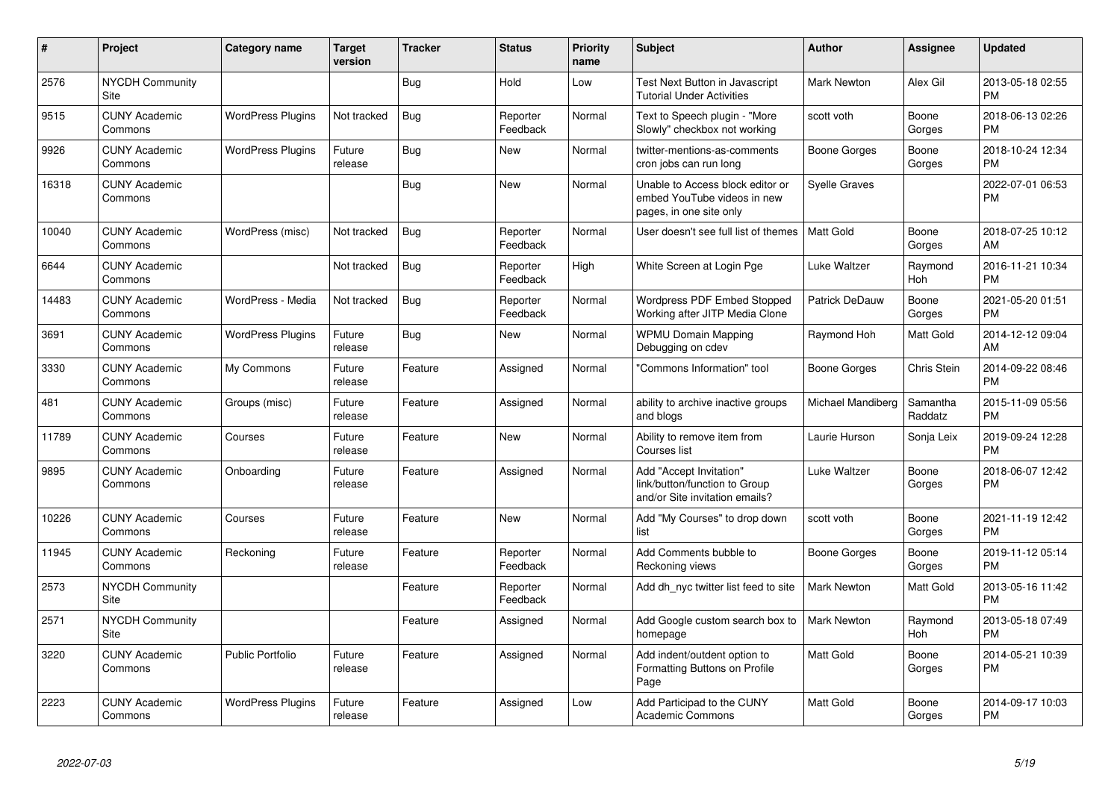| #     | Project                               | <b>Category name</b>     | <b>Target</b><br>version | <b>Tracker</b> | <b>Status</b>        | <b>Priority</b><br>name | <b>Subject</b>                                                                             | Author             | Assignee            | <b>Updated</b>                |
|-------|---------------------------------------|--------------------------|--------------------------|----------------|----------------------|-------------------------|--------------------------------------------------------------------------------------------|--------------------|---------------------|-------------------------------|
| 2576  | <b>NYCDH Community</b><br>Site        |                          |                          | Bug            | Hold                 | Low                     | Test Next Button in Javascript<br><b>Tutorial Under Activities</b>                         | <b>Mark Newton</b> | Alex Gil            | 2013-05-18 02:55<br><b>PM</b> |
| 9515  | <b>CUNY Academic</b><br>Commons       | <b>WordPress Plugins</b> | Not tracked              | <b>Bug</b>     | Reporter<br>Feedback | Normal                  | Text to Speech plugin - "More<br>Slowly" checkbox not working                              | scott voth         | Boone<br>Gorges     | 2018-06-13 02:26<br><b>PM</b> |
| 9926  | <b>CUNY Academic</b><br>Commons       | <b>WordPress Plugins</b> | Future<br>release        | <b>Bug</b>     | <b>New</b>           | Normal                  | twitter-mentions-as-comments<br>cron jobs can run long                                     | Boone Gorges       | Boone<br>Gorges     | 2018-10-24 12:34<br><b>PM</b> |
| 16318 | <b>CUNY Academic</b><br>Commons       |                          |                          | Bug            | New                  | Normal                  | Unable to Access block editor or<br>embed YouTube videos in new<br>pages, in one site only | Syelle Graves      |                     | 2022-07-01 06:53<br><b>PM</b> |
| 10040 | <b>CUNY Academic</b><br>Commons       | WordPress (misc)         | Not tracked              | Bug            | Reporter<br>Feedback | Normal                  | User doesn't see full list of themes                                                       | Matt Gold          | Boone<br>Gorges     | 2018-07-25 10:12<br>AM        |
| 6644  | <b>CUNY Academic</b><br>Commons       |                          | Not tracked              | <b>Bug</b>     | Reporter<br>Feedback | High                    | White Screen at Login Pge                                                                  | Luke Waltzer       | Raymond<br>Hoh      | 2016-11-21 10:34<br><b>PM</b> |
| 14483 | <b>CUNY Academic</b><br>Commons       | WordPress - Media        | Not tracked              | Bug            | Reporter<br>Feedback | Normal                  | <b>Wordpress PDF Embed Stopped</b><br>Working after JITP Media Clone                       | Patrick DeDauw     | Boone<br>Gorges     | 2021-05-20 01:51<br><b>PM</b> |
| 3691  | <b>CUNY Academic</b><br>Commons       | <b>WordPress Plugins</b> | Future<br>release        | Bug            | <b>New</b>           | Normal                  | <b>WPMU Domain Mapping</b><br>Debugging on cdev                                            | Raymond Hoh        | Matt Gold           | 2014-12-12 09:04<br>AM        |
| 3330  | <b>CUNY Academic</b><br>Commons       | My Commons               | Future<br>release        | Feature        | Assigned             | Normal                  | "Commons Information" tool                                                                 | Boone Gorges       | Chris Stein         | 2014-09-22 08:46<br><b>PM</b> |
| 481   | <b>CUNY Academic</b><br>Commons       | Groups (misc)            | Future<br>release        | Feature        | Assigned             | Normal                  | ability to archive inactive groups<br>and blogs                                            | Michael Mandiberg  | Samantha<br>Raddatz | 2015-11-09 05:56<br><b>PM</b> |
| 11789 | <b>CUNY Academic</b><br>Commons       | Courses                  | Future<br>release        | Feature        | <b>New</b>           | Normal                  | Ability to remove item from<br>Courses list                                                | Laurie Hurson      | Sonja Leix          | 2019-09-24 12:28<br><b>PM</b> |
| 9895  | <b>CUNY Academic</b><br>Commons       | Onboarding               | Future<br>release        | Feature        | Assigned             | Normal                  | Add "Accept Invitation"<br>link/button/function to Group<br>and/or Site invitation emails? | Luke Waltzer       | Boone<br>Gorges     | 2018-06-07 12:42<br><b>PM</b> |
| 10226 | <b>CUNY Academic</b><br>Commons       | Courses                  | Future<br>release        | Feature        | <b>New</b>           | Normal                  | Add "My Courses" to drop down<br>list                                                      | scott voth         | Boone<br>Gorges     | 2021-11-19 12:42<br><b>PM</b> |
| 11945 | <b>CUNY Academic</b><br>Commons       | Reckoning                | Future<br>release        | Feature        | Reporter<br>Feedback | Normal                  | Add Comments bubble to<br>Reckoning views                                                  | Boone Gorges       | Boone<br>Gorges     | 2019-11-12 05:14<br><b>PM</b> |
| 2573  | <b>NYCDH Community</b><br>Site        |                          |                          | Feature        | Reporter<br>Feedback | Normal                  | Add dh_nyc twitter list feed to site                                                       | <b>Mark Newton</b> | Matt Gold           | 2013-05-16 11:42<br><b>PM</b> |
| 2571  | <b>NYCDH Community</b><br><b>Site</b> |                          |                          | Feature        | Assigned             | Normal                  | Add Google custom search box to<br>homepage                                                | <b>Mark Newton</b> | Raymond<br>Hoh      | 2013-05-18 07:49<br><b>PM</b> |
| 3220  | <b>CUNY Academic</b><br>Commons       | <b>Public Portfolio</b>  | Future<br>release        | Feature        | Assigned             | Normal                  | Add indent/outdent option to<br>Formatting Buttons on Profile<br>Page                      | <b>Matt Gold</b>   | Boone<br>Gorges     | 2014-05-21 10:39<br><b>PM</b> |
| 2223  | <b>CUNY Academic</b><br>Commons       | WordPress Plugins        | Future<br>release        | Feature        | Assigned             | Low                     | Add Participad to the CUNY<br><b>Academic Commons</b>                                      | <b>Matt Gold</b>   | Boone<br>Gorges     | 2014-09-17 10:03<br><b>PM</b> |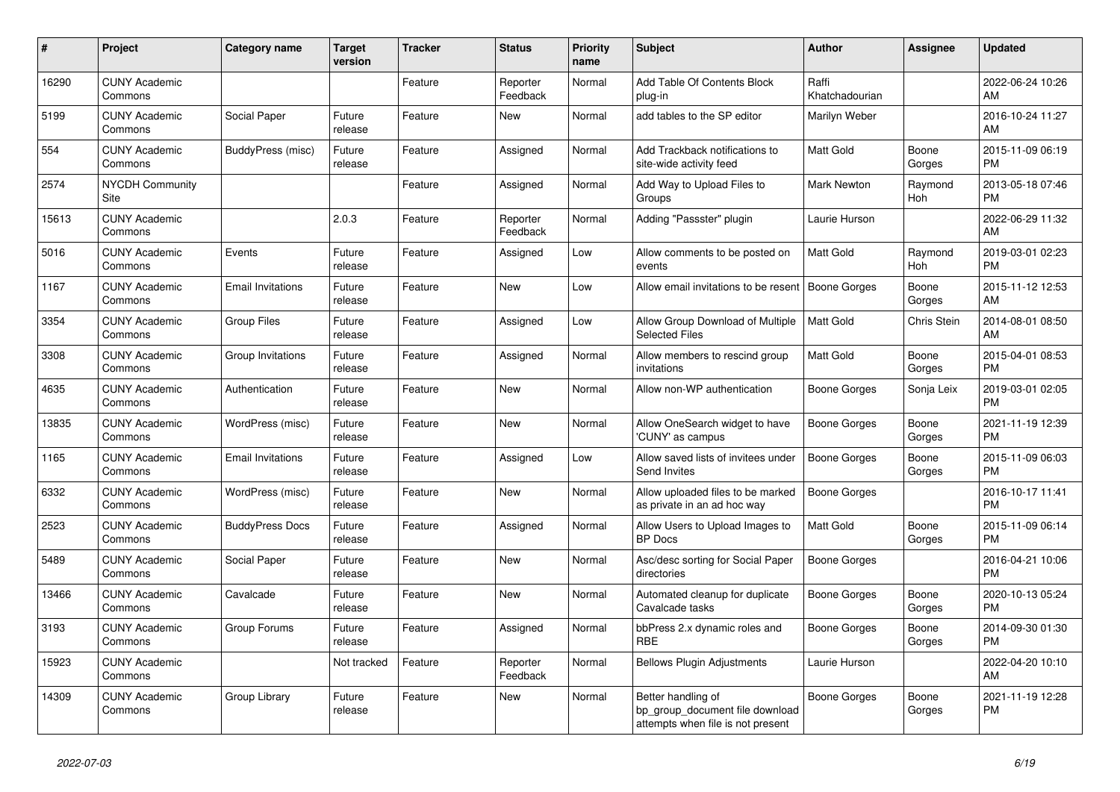| #     | Project                         | <b>Category name</b>     | <b>Target</b><br>version | <b>Tracker</b> | <b>Status</b>        | <b>Priority</b><br>name | <b>Subject</b>                                                                             | <b>Author</b>           | <b>Assignee</b> | <b>Updated</b>                |
|-------|---------------------------------|--------------------------|--------------------------|----------------|----------------------|-------------------------|--------------------------------------------------------------------------------------------|-------------------------|-----------------|-------------------------------|
| 16290 | <b>CUNY Academic</b><br>Commons |                          |                          | Feature        | Reporter<br>Feedback | Normal                  | Add Table Of Contents Block<br>plug-in                                                     | Raffi<br>Khatchadourian |                 | 2022-06-24 10:26<br>AM        |
| 5199  | <b>CUNY Academic</b><br>Commons | Social Paper             | Future<br>release        | Feature        | New                  | Normal                  | add tables to the SP editor                                                                | Marilyn Weber           |                 | 2016-10-24 11:27<br>AM        |
| 554   | <b>CUNY Academic</b><br>Commons | BuddyPress (misc)        | Future<br>release        | Feature        | Assigned             | Normal                  | Add Trackback notifications to<br>site-wide activity feed                                  | <b>Matt Gold</b>        | Boone<br>Gorges | 2015-11-09 06:19<br><b>PM</b> |
| 2574  | <b>NYCDH Community</b><br>Site  |                          |                          | Feature        | Assigned             | Normal                  | Add Way to Upload Files to<br>Groups                                                       | <b>Mark Newton</b>      | Raymond<br>Hoh  | 2013-05-18 07:46<br><b>PM</b> |
| 15613 | <b>CUNY Academic</b><br>Commons |                          | 2.0.3                    | Feature        | Reporter<br>Feedback | Normal                  | Adding "Passster" plugin                                                                   | Laurie Hurson           |                 | 2022-06-29 11:32<br>AM        |
| 5016  | <b>CUNY Academic</b><br>Commons | Events                   | Future<br>release        | Feature        | Assigned             | Low                     | Allow comments to be posted on<br>events                                                   | <b>Matt Gold</b>        | Raymond<br>Hoh  | 2019-03-01 02:23<br><b>PM</b> |
| 1167  | <b>CUNY Academic</b><br>Commons | <b>Email Invitations</b> | Future<br>release        | Feature        | <b>New</b>           | Low                     | Allow email invitations to be resent                                                       | Boone Gorges            | Boone<br>Gorges | 2015-11-12 12:53<br>AM        |
| 3354  | <b>CUNY Academic</b><br>Commons | <b>Group Files</b>       | Future<br>release        | Feature        | Assigned             | Low                     | Allow Group Download of Multiple<br><b>Selected Files</b>                                  | <b>Matt Gold</b>        | Chris Stein     | 2014-08-01 08:50<br>AM        |
| 3308  | <b>CUNY Academic</b><br>Commons | Group Invitations        | Future<br>release        | Feature        | Assigned             | Normal                  | Allow members to rescind group<br>invitations                                              | <b>Matt Gold</b>        | Boone<br>Gorges | 2015-04-01 08:53<br><b>PM</b> |
| 4635  | <b>CUNY Academic</b><br>Commons | Authentication           | Future<br>release        | Feature        | New                  | Normal                  | Allow non-WP authentication                                                                | Boone Gorges            | Sonja Leix      | 2019-03-01 02:05<br><b>PM</b> |
| 13835 | <b>CUNY Academic</b><br>Commons | WordPress (misc)         | Future<br>release        | Feature        | <b>New</b>           | Normal                  | Allow OneSearch widget to have<br>'CUNY' as campus                                         | Boone Gorges            | Boone<br>Gorges | 2021-11-19 12:39<br><b>PM</b> |
| 1165  | <b>CUNY Academic</b><br>Commons | <b>Email Invitations</b> | Future<br>release        | Feature        | Assigned             | Low                     | Allow saved lists of invitees under<br>Send Invites                                        | Boone Gorges            | Boone<br>Gorges | 2015-11-09 06:03<br><b>PM</b> |
| 6332  | <b>CUNY Academic</b><br>Commons | WordPress (misc)         | Future<br>release        | Feature        | New                  | Normal                  | Allow uploaded files to be marked<br>as private in an ad hoc way                           | <b>Boone Gorges</b>     |                 | 2016-10-17 11:41<br><b>PM</b> |
| 2523  | <b>CUNY Academic</b><br>Commons | <b>BuddyPress Docs</b>   | Future<br>release        | Feature        | Assigned             | Normal                  | Allow Users to Upload Images to<br><b>BP</b> Docs                                          | <b>Matt Gold</b>        | Boone<br>Gorges | 2015-11-09 06:14<br><b>PM</b> |
| 5489  | <b>CUNY Academic</b><br>Commons | Social Paper             | Future<br>release        | Feature        | <b>New</b>           | Normal                  | Asc/desc sorting for Social Paper<br>directories                                           | Boone Gorges            |                 | 2016-04-21 10:06<br><b>PM</b> |
| 13466 | <b>CUNY Academic</b><br>Commons | Cavalcade                | Future<br>release        | Feature        | New                  | Normal                  | Automated cleanup for duplicate<br>Cavalcade tasks                                         | Boone Gorges            | Boone<br>Gorges | 2020-10-13 05:24<br><b>PM</b> |
| 3193  | <b>CUNY Academic</b><br>Commons | Group Forums             | Future<br>release        | Feature        | Assigned             | Normal                  | bbPress 2.x dynamic roles and<br><b>RBE</b>                                                | Boone Gorges            | Boone<br>Gorges | 2014-09-30 01:30<br><b>PM</b> |
| 15923 | <b>CUNY Academic</b><br>Commons |                          | Not tracked              | Feature        | Reporter<br>Feedback | Normal                  | <b>Bellows Plugin Adjustments</b>                                                          | Laurie Hurson           |                 | 2022-04-20 10:10<br>AM        |
| 14309 | <b>CUNY Academic</b><br>Commons | Group Library            | Future<br>release        | Feature        | New                  | Normal                  | Better handling of<br>bp group document file download<br>attempts when file is not present | Boone Gorges            | Boone<br>Gorges | 2021-11-19 12:28<br><b>PM</b> |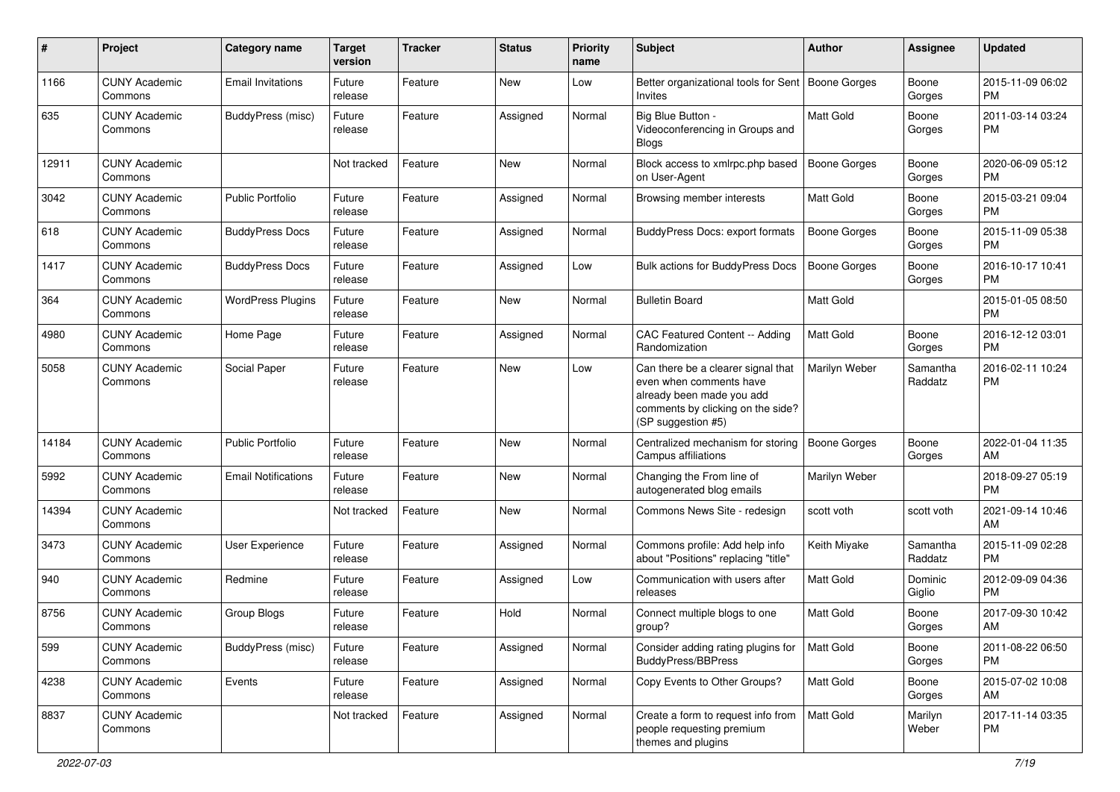| #     | Project                         | Category name              | <b>Target</b><br>version | <b>Tracker</b> | <b>Status</b> | <b>Priority</b><br>name | Subject                                                                                                                                               | Author              | <b>Assignee</b>     | <b>Updated</b>                |
|-------|---------------------------------|----------------------------|--------------------------|----------------|---------------|-------------------------|-------------------------------------------------------------------------------------------------------------------------------------------------------|---------------------|---------------------|-------------------------------|
| 1166  | <b>CUNY Academic</b><br>Commons | <b>Email Invitations</b>   | Future<br>release        | Feature        | <b>New</b>    | Low                     | Better organizational tools for Sent   Boone Gorges<br>Invites                                                                                        |                     | Boone<br>Gorges     | 2015-11-09 06:02<br><b>PM</b> |
| 635   | <b>CUNY Academic</b><br>Commons | BuddyPress (misc)          | Future<br>release        | Feature        | Assigned      | Normal                  | Big Blue Button -<br>Videoconferencing in Groups and<br><b>Blogs</b>                                                                                  | Matt Gold           | Boone<br>Gorges     | 2011-03-14 03:24<br><b>PM</b> |
| 12911 | <b>CUNY Academic</b><br>Commons |                            | Not tracked              | Feature        | New           | Normal                  | Block access to xmlrpc.php based<br>on User-Agent                                                                                                     | <b>Boone Gorges</b> | Boone<br>Gorges     | 2020-06-09 05:12<br><b>PM</b> |
| 3042  | <b>CUNY Academic</b><br>Commons | <b>Public Portfolio</b>    | Future<br>release        | Feature        | Assigned      | Normal                  | Browsing member interests                                                                                                                             | Matt Gold           | Boone<br>Gorges     | 2015-03-21 09:04<br><b>PM</b> |
| 618   | <b>CUNY Academic</b><br>Commons | <b>BuddyPress Docs</b>     | Future<br>release        | Feature        | Assigned      | Normal                  | <b>BuddyPress Docs: export formats</b>                                                                                                                | <b>Boone Gorges</b> | Boone<br>Gorges     | 2015-11-09 05:38<br><b>PM</b> |
| 1417  | <b>CUNY Academic</b><br>Commons | <b>BuddyPress Docs</b>     | Future<br>release        | Feature        | Assigned      | Low                     | Bulk actions for BuddyPress Docs                                                                                                                      | <b>Boone Gorges</b> | Boone<br>Gorges     | 2016-10-17 10:41<br><b>PM</b> |
| 364   | <b>CUNY Academic</b><br>Commons | <b>WordPress Plugins</b>   | Future<br>release        | Feature        | New           | Normal                  | <b>Bulletin Board</b>                                                                                                                                 | <b>Matt Gold</b>    |                     | 2015-01-05 08:50<br><b>PM</b> |
| 4980  | <b>CUNY Academic</b><br>Commons | Home Page                  | Future<br>release        | Feature        | Assigned      | Normal                  | CAC Featured Content -- Adding<br>Randomization                                                                                                       | <b>Matt Gold</b>    | Boone<br>Gorges     | 2016-12-12 03:01<br><b>PM</b> |
| 5058  | <b>CUNY Academic</b><br>Commons | Social Paper               | Future<br>release        | Feature        | <b>New</b>    | Low                     | Can there be a clearer signal that<br>even when comments have<br>already been made you add<br>comments by clicking on the side?<br>(SP suggestion #5) | Marilyn Weber       | Samantha<br>Raddatz | 2016-02-11 10:24<br><b>PM</b> |
| 14184 | <b>CUNY Academic</b><br>Commons | <b>Public Portfolio</b>    | Future<br>release        | Feature        | <b>New</b>    | Normal                  | Centralized mechanism for storing<br>Campus affiliations                                                                                              | <b>Boone Gorges</b> | Boone<br>Gorges     | 2022-01-04 11:35<br>AM        |
| 5992  | <b>CUNY Academic</b><br>Commons | <b>Email Notifications</b> | Future<br>release        | Feature        | <b>New</b>    | Normal                  | Changing the From line of<br>autogenerated blog emails                                                                                                | Marilyn Weber       |                     | 2018-09-27 05:19<br><b>PM</b> |
| 14394 | <b>CUNY Academic</b><br>Commons |                            | Not tracked              | Feature        | <b>New</b>    | Normal                  | Commons News Site - redesign                                                                                                                          | scott voth          | scott voth          | 2021-09-14 10:46<br>AM        |
| 3473  | <b>CUNY Academic</b><br>Commons | User Experience            | Future<br>release        | Feature        | Assigned      | Normal                  | Commons profile: Add help info<br>about "Positions" replacing "title"                                                                                 | Keith Miyake        | Samantha<br>Raddatz | 2015-11-09 02:28<br><b>PM</b> |
| 940   | <b>CUNY Academic</b><br>Commons | Redmine                    | Future<br>release        | Feature        | Assigned      | Low                     | Communication with users after<br>releases                                                                                                            | Matt Gold           | Dominic<br>Giglio   | 2012-09-09 04:36<br><b>PM</b> |
| 8756  | <b>CUNY Academic</b><br>Commons | Group Blogs                | Future<br>release        | Feature        | Hold          | Normal                  | Connect multiple blogs to one<br>group?                                                                                                               | <b>Matt Gold</b>    | Boone<br>Gorges     | 2017-09-30 10:42<br>AM        |
| 599   | <b>CUNY Academic</b><br>Commons | BuddyPress (misc)          | Future<br>release        | Feature        | Assigned      | Normal                  | Consider adding rating plugins for<br><b>BuddyPress/BBPress</b>                                                                                       | Matt Gold           | Boone<br>Gorges     | 2011-08-22 06:50<br><b>PM</b> |
| 4238  | <b>CUNY Academic</b><br>Commons | Events                     | Future<br>release        | Feature        | Assigned      | Normal                  | Copy Events to Other Groups?                                                                                                                          | Matt Gold           | Boone<br>Gorges     | 2015-07-02 10:08<br>AM        |
| 8837  | <b>CUNY Academic</b><br>Commons |                            | Not tracked              | Feature        | Assigned      | Normal                  | Create a form to request info from<br>people requesting premium<br>themes and plugins                                                                 | Matt Gold           | Marilyn<br>Weber    | 2017-11-14 03:35<br><b>PM</b> |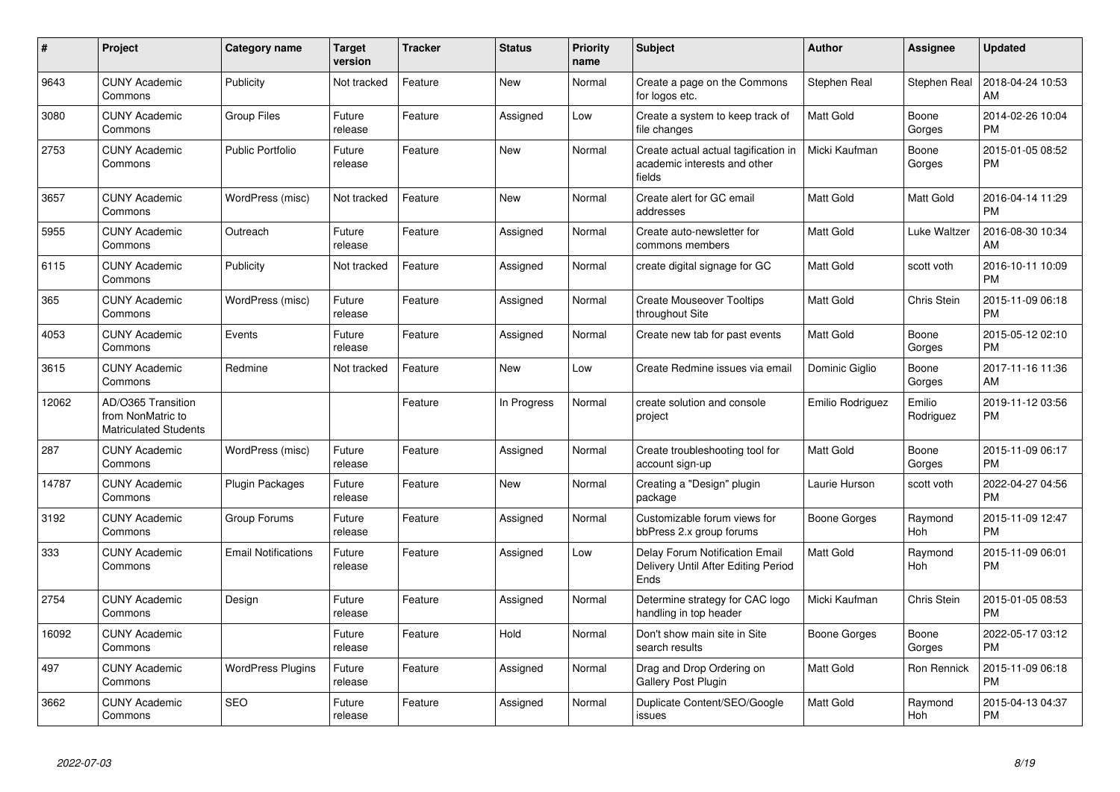| $\pmb{\#}$ | Project                                                                 | <b>Category name</b>       | <b>Target</b><br>version | <b>Tracker</b> | <b>Status</b> | Priority<br>name | <b>Subject</b>                                                                 | <b>Author</b>    | <b>Assignee</b>     | <b>Updated</b>                |
|------------|-------------------------------------------------------------------------|----------------------------|--------------------------|----------------|---------------|------------------|--------------------------------------------------------------------------------|------------------|---------------------|-------------------------------|
| 9643       | <b>CUNY Academic</b><br>Commons                                         | Publicity                  | Not tracked              | Feature        | <b>New</b>    | Normal           | Create a page on the Commons<br>for logos etc.                                 | Stephen Real     | Stephen Real        | 2018-04-24 10:53<br>AM        |
| 3080       | <b>CUNY Academic</b><br>Commons                                         | <b>Group Files</b>         | Future<br>release        | Feature        | Assigned      | Low              | Create a system to keep track of<br>file changes                               | Matt Gold        | Boone<br>Gorges     | 2014-02-26 10:04<br><b>PM</b> |
| 2753       | <b>CUNY Academic</b><br>Commons                                         | <b>Public Portfolio</b>    | Future<br>release        | Feature        | New           | Normal           | Create actual actual tagification in<br>academic interests and other<br>fields | Micki Kaufman    | Boone<br>Gorges     | 2015-01-05 08:52<br><b>PM</b> |
| 3657       | <b>CUNY Academic</b><br>Commons                                         | WordPress (misc)           | Not tracked              | Feature        | New           | Normal           | Create alert for GC email<br>addresses                                         | <b>Matt Gold</b> | Matt Gold           | 2016-04-14 11:29<br><b>PM</b> |
| 5955       | <b>CUNY Academic</b><br>Commons                                         | Outreach                   | Future<br>release        | Feature        | Assigned      | Normal           | Create auto-newsletter for<br>commons members                                  | <b>Matt Gold</b> | Luke Waltzer        | 2016-08-30 10:34<br>AM        |
| 6115       | <b>CUNY Academic</b><br>Commons                                         | Publicity                  | Not tracked              | Feature        | Assigned      | Normal           | create digital signage for GC                                                  | <b>Matt Gold</b> | scott voth          | 2016-10-11 10:09<br><b>PM</b> |
| 365        | <b>CUNY Academic</b><br>Commons                                         | WordPress (misc)           | Future<br>release        | Feature        | Assigned      | Normal           | <b>Create Mouseover Tooltips</b><br>throughout Site                            | <b>Matt Gold</b> | Chris Stein         | 2015-11-09 06:18<br><b>PM</b> |
| 4053       | <b>CUNY Academic</b><br>Commons                                         | Events                     | Future<br>release        | Feature        | Assigned      | Normal           | Create new tab for past events                                                 | Matt Gold        | Boone<br>Gorges     | 2015-05-12 02:10<br><b>PM</b> |
| 3615       | <b>CUNY Academic</b><br>Commons                                         | Redmine                    | Not tracked              | Feature        | New           | Low              | Create Redmine issues via email                                                | Dominic Giglio   | Boone<br>Gorges     | 2017-11-16 11:36<br>AM        |
| 12062      | AD/O365 Transition<br>from NonMatric to<br><b>Matriculated Students</b> |                            |                          | Feature        | In Progress   | Normal           | create solution and console<br>project                                         | Emilio Rodriguez | Emilio<br>Rodriguez | 2019-11-12 03:56<br><b>PM</b> |
| 287        | <b>CUNY Academic</b><br>Commons                                         | WordPress (misc)           | Future<br>release        | Feature        | Assigned      | Normal           | Create troubleshooting tool for<br>account sign-up                             | <b>Matt Gold</b> | Boone<br>Gorges     | 2015-11-09 06:17<br><b>PM</b> |
| 14787      | <b>CUNY Academic</b><br>Commons                                         | Plugin Packages            | Future<br>release        | Feature        | <b>New</b>    | Normal           | Creating a "Design" plugin<br>package                                          | Laurie Hurson    | scott voth          | 2022-04-27 04:56<br><b>PM</b> |
| 3192       | <b>CUNY Academic</b><br>Commons                                         | Group Forums               | Future<br>release        | Feature        | Assigned      | Normal           | Customizable forum views for<br>bbPress 2.x group forums                       | Boone Gorges     | Raymond<br>Hoh      | 2015-11-09 12:47<br><b>PM</b> |
| 333        | <b>CUNY Academic</b><br>Commons                                         | <b>Email Notifications</b> | Future<br>release        | Feature        | Assigned      | Low              | Delay Forum Notification Email<br>Delivery Until After Editing Period<br>Ends  | Matt Gold        | Raymond<br>Hoh      | 2015-11-09 06:01<br><b>PM</b> |
| 2754       | <b>CUNY Academic</b><br>Commons                                         | Design                     | Future<br>release        | Feature        | Assigned      | Normal           | Determine strategy for CAC logo<br>handling in top header                      | Micki Kaufman    | Chris Stein         | 2015-01-05 08:53<br><b>PM</b> |
| 16092      | <b>CUNY Academic</b><br>Commons                                         |                            | Future<br>release        | Feature        | Hold          | Normal           | Don't show main site in Site<br>search results                                 | Boone Gorges     | Boone<br>Gorges     | 2022-05-17 03:12<br><b>PM</b> |
| 497        | <b>CUNY Academic</b><br>Commons                                         | <b>WordPress Plugins</b>   | Future<br>release        | Feature        | Assigned      | Normal           | Drag and Drop Ordering on<br>Gallery Post Plugin                               | <b>Matt Gold</b> | Ron Rennick         | 2015-11-09 06:18<br><b>PM</b> |
| 3662       | <b>CUNY Academic</b><br>Commons                                         | <b>SEO</b>                 | Future<br>release        | Feature        | Assigned      | Normal           | Duplicate Content/SEO/Google<br>issues                                         | Matt Gold        | Raymond<br>Hoh      | 2015-04-13 04:37<br><b>PM</b> |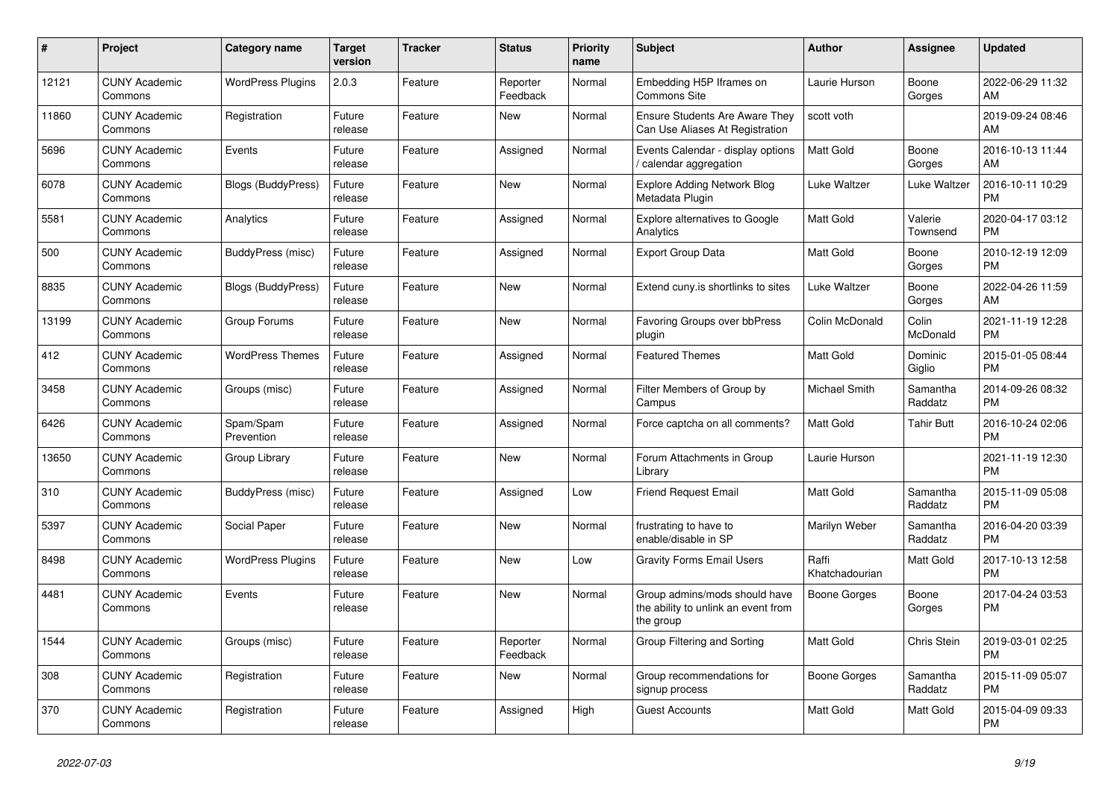| #     | Project                         | <b>Category name</b>      | <b>Target</b><br>version | Tracker | <b>Status</b>        | <b>Priority</b><br>name | <b>Subject</b>                                                                    | <b>Author</b>           | Assignee            | <b>Updated</b>                |
|-------|---------------------------------|---------------------------|--------------------------|---------|----------------------|-------------------------|-----------------------------------------------------------------------------------|-------------------------|---------------------|-------------------------------|
| 12121 | <b>CUNY Academic</b><br>Commons | <b>WordPress Plugins</b>  | 2.0.3                    | Feature | Reporter<br>Feedback | Normal                  | Embedding H5P Iframes on<br>Commons Site                                          | Laurie Hurson           | Boone<br>Gorges     | 2022-06-29 11:32<br>AM        |
| 11860 | <b>CUNY Academic</b><br>Commons | Registration              | Future<br>release        | Feature | New                  | Normal                  | <b>Ensure Students Are Aware They</b><br>Can Use Aliases At Registration          | scott voth              |                     | 2019-09-24 08:46<br>AM        |
| 5696  | <b>CUNY Academic</b><br>Commons | Events                    | Future<br>release        | Feature | Assigned             | Normal                  | Events Calendar - display options<br>calendar aggregation                         | Matt Gold               | Boone<br>Gorges     | 2016-10-13 11:44<br>AM        |
| 6078  | <b>CUNY Academic</b><br>Commons | <b>Blogs (BuddyPress)</b> | Future<br>release        | Feature | New                  | Normal                  | <b>Explore Adding Network Blog</b><br>Metadata Plugin                             | Luke Waltzer            | Luke Waltzer        | 2016-10-11 10:29<br><b>PM</b> |
| 5581  | <b>CUNY Academic</b><br>Commons | Analytics                 | Future<br>release        | Feature | Assigned             | Normal                  | Explore alternatives to Google<br>Analytics                                       | Matt Gold               | Valerie<br>Townsend | 2020-04-17 03:12<br><b>PM</b> |
| 500   | <b>CUNY Academic</b><br>Commons | BuddyPress (misc)         | Future<br>release        | Feature | Assigned             | Normal                  | <b>Export Group Data</b>                                                          | Matt Gold               | Boone<br>Gorges     | 2010-12-19 12:09<br><b>PM</b> |
| 8835  | <b>CUNY Academic</b><br>Commons | <b>Blogs (BuddyPress)</b> | Future<br>release        | Feature | <b>New</b>           | Normal                  | Extend cuny.is shortlinks to sites                                                | Luke Waltzer            | Boone<br>Gorges     | 2022-04-26 11:59<br>AM        |
| 13199 | <b>CUNY Academic</b><br>Commons | Group Forums              | Future<br>release        | Feature | <b>New</b>           | Normal                  | <b>Favoring Groups over bbPress</b><br>plugin                                     | Colin McDonald          | Colin<br>McDonald   | 2021-11-19 12:28<br><b>PM</b> |
| 412   | <b>CUNY Academic</b><br>Commons | <b>WordPress Themes</b>   | Future<br>release        | Feature | Assigned             | Normal                  | <b>Featured Themes</b>                                                            | Matt Gold               | Dominic<br>Giglio   | 2015-01-05 08:44<br><b>PM</b> |
| 3458  | <b>CUNY Academic</b><br>Commons | Groups (misc)             | Future<br>release        | Feature | Assigned             | Normal                  | Filter Members of Group by<br>Campus                                              | Michael Smith           | Samantha<br>Raddatz | 2014-09-26 08:32<br><b>PM</b> |
| 6426  | <b>CUNY Academic</b><br>Commons | Spam/Spam<br>Prevention   | Future<br>release        | Feature | Assigned             | Normal                  | Force captcha on all comments?                                                    | <b>Matt Gold</b>        | <b>Tahir Butt</b>   | 2016-10-24 02:06<br><b>PM</b> |
| 13650 | <b>CUNY Academic</b><br>Commons | Group Library             | Future<br>release        | Feature | New                  | Normal                  | Forum Attachments in Group<br>Library                                             | Laurie Hurson           |                     | 2021-11-19 12:30<br><b>PM</b> |
| 310   | <b>CUNY Academic</b><br>Commons | BuddyPress (misc)         | Future<br>release        | Feature | Assigned             | Low                     | <b>Friend Request Email</b>                                                       | Matt Gold               | Samantha<br>Raddatz | 2015-11-09 05:08<br><b>PM</b> |
| 5397  | <b>CUNY Academic</b><br>Commons | Social Paper              | Future<br>release        | Feature | New                  | Normal                  | frustrating to have to<br>enable/disable in SP                                    | Marilyn Weber           | Samantha<br>Raddatz | 2016-04-20 03:39<br><b>PM</b> |
| 8498  | <b>CUNY Academic</b><br>Commons | <b>WordPress Plugins</b>  | Future<br>release        | Feature | New                  | Low                     | <b>Gravity Forms Email Users</b>                                                  | Raffi<br>Khatchadourian | Matt Gold           | 2017-10-13 12:58<br><b>PM</b> |
| 4481  | <b>CUNY Academic</b><br>Commons | Events                    | Future<br>release        | Feature | New                  | Normal                  | Group admins/mods should have<br>the ability to unlink an event from<br>the group | Boone Gorges            | Boone<br>Gorges     | 2017-04-24 03:53<br><b>PM</b> |
| 1544  | <b>CUNY Academic</b><br>Commons | Groups (misc)             | Future<br>release        | Feature | Reporter<br>Feedback | Normal                  | Group Filtering and Sorting                                                       | Matt Gold               | Chris Stein         | 2019-03-01 02:25<br><b>PM</b> |
| 308   | <b>CUNY Academic</b><br>Commons | Registration              | Future<br>release        | Feature | New                  | Normal                  | Group recommendations for<br>signup process                                       | Boone Gorges            | Samantha<br>Raddatz | 2015-11-09 05:07<br><b>PM</b> |
| 370   | <b>CUNY Academic</b><br>Commons | Registration              | Future<br>release        | Feature | Assigned             | High                    | <b>Guest Accounts</b>                                                             | Matt Gold               | Matt Gold           | 2015-04-09 09:33<br><b>PM</b> |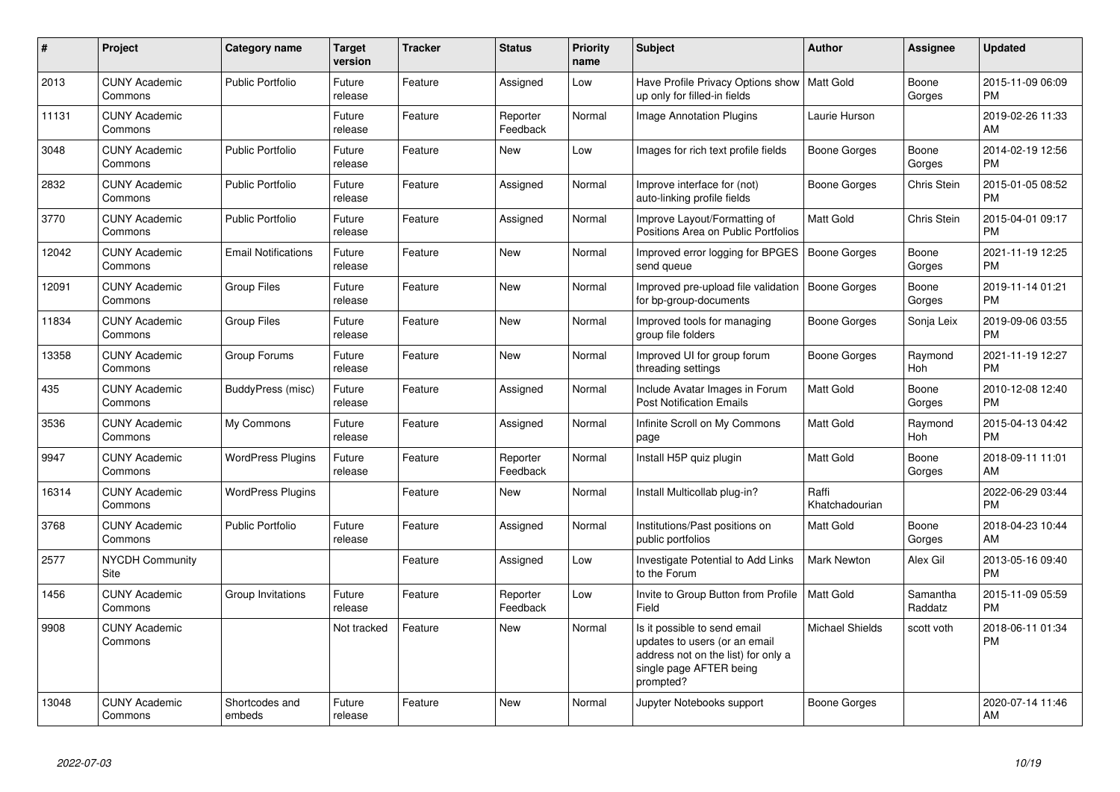| #     | <b>Project</b>                  | Category name              | Target<br>version | <b>Tracker</b> | <b>Status</b>        | <b>Priority</b><br>name | <b>Subject</b>                                                                                                                               | <b>Author</b>           | Assignee            | <b>Updated</b>                |
|-------|---------------------------------|----------------------------|-------------------|----------------|----------------------|-------------------------|----------------------------------------------------------------------------------------------------------------------------------------------|-------------------------|---------------------|-------------------------------|
| 2013  | <b>CUNY Academic</b><br>Commons | <b>Public Portfolio</b>    | Future<br>release | Feature        | Assigned             | Low                     | Have Profile Privacy Options show<br>up only for filled-in fields                                                                            | l Matt Gold             | Boone<br>Gorges     | 2015-11-09 06:09<br><b>PM</b> |
| 11131 | <b>CUNY Academic</b><br>Commons |                            | Future<br>release | Feature        | Reporter<br>Feedback | Normal                  | <b>Image Annotation Plugins</b>                                                                                                              | Laurie Hurson           |                     | 2019-02-26 11:33<br>AM        |
| 3048  | <b>CUNY Academic</b><br>Commons | <b>Public Portfolio</b>    | Future<br>release | Feature        | <b>New</b>           | Low                     | Images for rich text profile fields                                                                                                          | Boone Gorges            | Boone<br>Gorges     | 2014-02-19 12:56<br><b>PM</b> |
| 2832  | <b>CUNY Academic</b><br>Commons | <b>Public Portfolio</b>    | Future<br>release | Feature        | Assigned             | Normal                  | Improve interface for (not)<br>auto-linking profile fields                                                                                   | Boone Gorges            | Chris Stein         | 2015-01-05 08:52<br><b>PM</b> |
| 3770  | <b>CUNY Academic</b><br>Commons | <b>Public Portfolio</b>    | Future<br>release | Feature        | Assigned             | Normal                  | Improve Layout/Formatting of<br>Positions Area on Public Portfolios                                                                          | Matt Gold               | Chris Stein         | 2015-04-01 09:17<br><b>PM</b> |
| 12042 | <b>CUNY Academic</b><br>Commons | <b>Email Notifications</b> | Future<br>release | Feature        | New                  | Normal                  | Improved error logging for BPGES<br>send queue                                                                                               | <b>Boone Gorges</b>     | Boone<br>Gorges     | 2021-11-19 12:25<br>PM.       |
| 12091 | <b>CUNY Academic</b><br>Commons | <b>Group Files</b>         | Future<br>release | Feature        | New                  | Normal                  | Improved pre-upload file validation<br>for bp-group-documents                                                                                | Boone Gorges            | Boone<br>Gorges     | 2019-11-14 01:21<br><b>PM</b> |
| 11834 | <b>CUNY Academic</b><br>Commons | Group Files                | Future<br>release | Feature        | <b>New</b>           | Normal                  | Improved tools for managing<br>group file folders                                                                                            | Boone Gorges            | Sonja Leix          | 2019-09-06 03:55<br><b>PM</b> |
| 13358 | <b>CUNY Academic</b><br>Commons | Group Forums               | Future<br>release | Feature        | <b>New</b>           | Normal                  | Improved UI for group forum<br>threading settings                                                                                            | Boone Gorges            | Raymond<br>Hoh      | 2021-11-19 12:27<br><b>PM</b> |
| 435   | <b>CUNY Academic</b><br>Commons | BuddyPress (misc)          | Future<br>release | Feature        | Assigned             | Normal                  | Include Avatar Images in Forum<br><b>Post Notification Emails</b>                                                                            | <b>Matt Gold</b>        | Boone<br>Gorges     | 2010-12-08 12:40<br><b>PM</b> |
| 3536  | <b>CUNY Academic</b><br>Commons | My Commons                 | Future<br>release | Feature        | Assigned             | Normal                  | Infinite Scroll on My Commons<br>page                                                                                                        | Matt Gold               | Raymond<br>Hoh      | 2015-04-13 04:42<br><b>PM</b> |
| 9947  | <b>CUNY Academic</b><br>Commons | <b>WordPress Plugins</b>   | Future<br>release | Feature        | Reporter<br>Feedback | Normal                  | Install H5P quiz plugin                                                                                                                      | Matt Gold               | Boone<br>Gorges     | 2018-09-11 11:01<br>AM        |
| 16314 | <b>CUNY Academic</b><br>Commons | <b>WordPress Plugins</b>   |                   | Feature        | New                  | Normal                  | Install Multicollab plug-in?                                                                                                                 | Raffi<br>Khatchadourian |                     | 2022-06-29 03:44<br><b>PM</b> |
| 3768  | <b>CUNY Academic</b><br>Commons | <b>Public Portfolio</b>    | Future<br>release | Feature        | Assigned             | Normal                  | Institutions/Past positions on<br>public portfolios                                                                                          | Matt Gold               | Boone<br>Gorges     | 2018-04-23 10:44<br>AM        |
| 2577  | <b>NYCDH Community</b><br>Site  |                            |                   | Feature        | Assigned             | Low                     | Investigate Potential to Add Links<br>to the Forum                                                                                           | <b>Mark Newton</b>      | Alex Gil            | 2013-05-16 09:40<br><b>PM</b> |
| 1456  | <b>CUNY Academic</b><br>Commons | Group Invitations          | Future<br>release | Feature        | Reporter<br>Feedback | Low                     | Invite to Group Button from Profile<br>Field                                                                                                 | Matt Gold               | Samantha<br>Raddatz | 2015-11-09 05:59<br><b>PM</b> |
| 9908  | <b>CUNY Academic</b><br>Commons |                            | Not tracked       | Feature        | New                  | Normal                  | Is it possible to send email<br>updates to users (or an email<br>address not on the list) for only a<br>single page AFTER being<br>prompted? | <b>Michael Shields</b>  | scott voth          | 2018-06-11 01:34<br><b>PM</b> |
| 13048 | <b>CUNY Academic</b><br>Commons | Shortcodes and<br>embeds   | Future<br>release | Feature        | <b>New</b>           | Normal                  | Jupyter Notebooks support                                                                                                                    | Boone Gorges            |                     | 2020-07-14 11:46<br>AM        |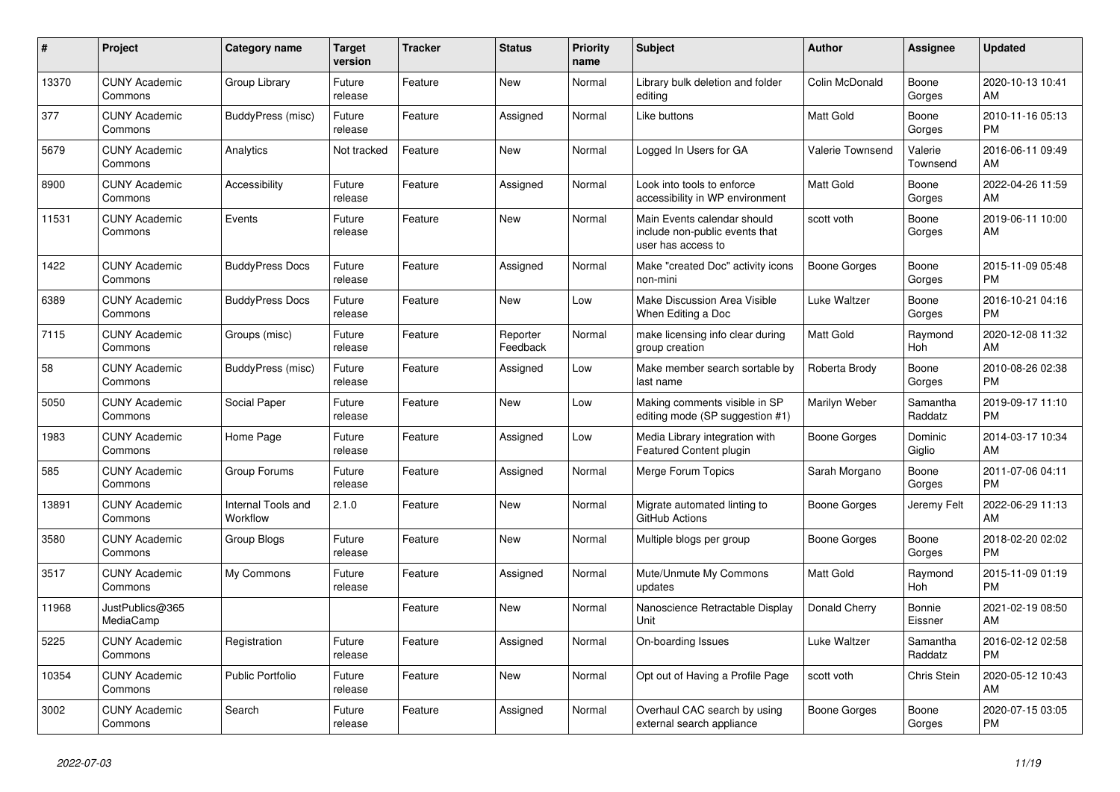| #     | <b>Project</b>                  | Category name                  | Target<br>version | <b>Tracker</b> | <b>Status</b>        | <b>Priority</b><br>name | <b>Subject</b>                                                                      | <b>Author</b>    | Assignee            | <b>Updated</b>                |
|-------|---------------------------------|--------------------------------|-------------------|----------------|----------------------|-------------------------|-------------------------------------------------------------------------------------|------------------|---------------------|-------------------------------|
| 13370 | <b>CUNY Academic</b><br>Commons | Group Library                  | Future<br>release | Feature        | New                  | Normal                  | Library bulk deletion and folder<br>editing                                         | Colin McDonald   | Boone<br>Gorges     | 2020-10-13 10:41<br>AM.       |
| 377   | <b>CUNY Academic</b><br>Commons | BuddyPress (misc)              | Future<br>release | Feature        | Assigned             | Normal                  | Like buttons                                                                        | Matt Gold        | Boone<br>Gorges     | 2010-11-16 05:13<br>PM.       |
| 5679  | <b>CUNY Academic</b><br>Commons | Analytics                      | Not tracked       | Feature        | New                  | Normal                  | Logged In Users for GA                                                              | Valerie Townsend | Valerie<br>Townsend | 2016-06-11 09:49<br>AM        |
| 8900  | <b>CUNY Academic</b><br>Commons | Accessibility                  | Future<br>release | Feature        | Assigned             | Normal                  | Look into tools to enforce<br>accessibility in WP environment                       | Matt Gold        | Boone<br>Gorges     | 2022-04-26 11:59<br>AM        |
| 11531 | <b>CUNY Academic</b><br>Commons | Events                         | Future<br>release | Feature        | New                  | Normal                  | Main Events calendar should<br>include non-public events that<br>user has access to | scott voth       | Boone<br>Gorges     | 2019-06-11 10:00<br>AM        |
| 1422  | <b>CUNY Academic</b><br>Commons | <b>BuddyPress Docs</b>         | Future<br>release | Feature        | Assigned             | Normal                  | Make "created Doc" activity icons<br>non-mini                                       | Boone Gorges     | Boone<br>Gorges     | 2015-11-09 05:48<br><b>PM</b> |
| 6389  | <b>CUNY Academic</b><br>Commons | <b>BuddyPress Docs</b>         | Future<br>release | Feature        | <b>New</b>           | Low                     | Make Discussion Area Visible<br>When Editing a Doc                                  | Luke Waltzer     | Boone<br>Gorges     | 2016-10-21 04:16<br><b>PM</b> |
| 7115  | <b>CUNY Academic</b><br>Commons | Groups (misc)                  | Future<br>release | Feature        | Reporter<br>Feedback | Normal                  | make licensing info clear during<br>group creation                                  | Matt Gold        | Raymond<br>Hoh      | 2020-12-08 11:32<br>AM        |
| 58    | <b>CUNY Academic</b><br>Commons | BuddyPress (misc)              | Future<br>release | Feature        | Assigned             | Low                     | Make member search sortable by<br>last name                                         | Roberta Brody    | Boone<br>Gorges     | 2010-08-26 02:38<br><b>PM</b> |
| 5050  | <b>CUNY Academic</b><br>Commons | Social Paper                   | Future<br>release | Feature        | <b>New</b>           | Low                     | Making comments visible in SP<br>editing mode (SP suggestion #1)                    | Marilyn Weber    | Samantha<br>Raddatz | 2019-09-17 11:10<br><b>PM</b> |
| 1983  | <b>CUNY Academic</b><br>Commons | Home Page                      | Future<br>release | Feature        | Assigned             | Low                     | Media Library integration with<br>Featured Content plugin                           | Boone Gorges     | Dominic<br>Giglio   | 2014-03-17 10:34<br>AM        |
| 585   | <b>CUNY Academic</b><br>Commons | Group Forums                   | Future<br>release | Feature        | Assigned             | Normal                  | Merge Forum Topics                                                                  | Sarah Morgano    | Boone<br>Gorges     | 2011-07-06 04:11<br><b>PM</b> |
| 13891 | <b>CUNY Academic</b><br>Commons | Internal Tools and<br>Workflow | 2.1.0             | Feature        | <b>New</b>           | Normal                  | Migrate automated linting to<br>GitHub Actions                                      | Boone Gorges     | Jeremy Felt         | 2022-06-29 11:13<br>AM        |
| 3580  | <b>CUNY Academic</b><br>Commons | Group Blogs                    | Future<br>release | Feature        | New                  | Normal                  | Multiple blogs per group                                                            | Boone Gorges     | Boone<br>Gorges     | 2018-02-20 02:02<br>PM        |
| 3517  | <b>CUNY Academic</b><br>Commons | My Commons                     | Future<br>release | Feature        | Assigned             | Normal                  | Mute/Unmute My Commons<br>updates                                                   | Matt Gold        | Raymond<br>Hoh      | 2015-11-09 01:19<br><b>PM</b> |
| 11968 | JustPublics@365<br>MediaCamp    |                                |                   | Feature        | <b>New</b>           | Normal                  | Nanoscience Retractable Display<br>Unit                                             | Donald Cherry    | Bonnie<br>Eissner   | 2021-02-19 08:50<br>AM        |
| 5225  | <b>CUNY Academic</b><br>Commons | Registration                   | Future<br>release | Feature        | Assigned             | Normal                  | On-boarding Issues                                                                  | Luke Waltzer     | Samantha<br>Raddatz | 2016-02-12 02:58<br><b>PM</b> |
| 10354 | <b>CUNY Academic</b><br>Commons | Public Portfolio               | Future<br>release | Feature        | New                  | Normal                  | Opt out of Having a Profile Page                                                    | scott voth       | Chris Stein         | 2020-05-12 10:43<br>AM        |
| 3002  | <b>CUNY Academic</b><br>Commons | Search                         | Future<br>release | Feature        | Assigned             | Normal                  | Overhaul CAC search by using<br>external search appliance                           | Boone Gorges     | Boone<br>Gorges     | 2020-07-15 03:05<br><b>PM</b> |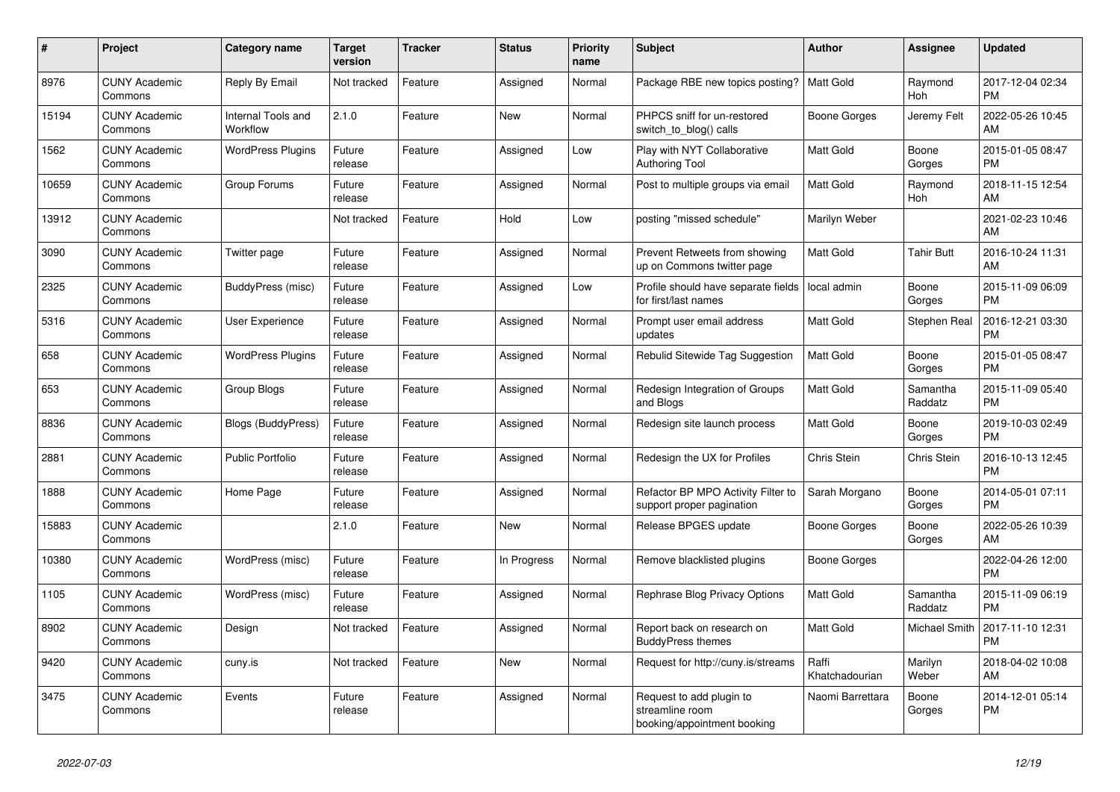| #     | <b>Project</b>                  | Category name                  | <b>Target</b><br>version | <b>Tracker</b> | <b>Status</b> | <b>Priority</b><br>name | <b>Subject</b>                                                             | <b>Author</b>           | Assignee              | <b>Updated</b>                |
|-------|---------------------------------|--------------------------------|--------------------------|----------------|---------------|-------------------------|----------------------------------------------------------------------------|-------------------------|-----------------------|-------------------------------|
| 8976  | <b>CUNY Academic</b><br>Commons | Reply By Email                 | Not tracked              | Feature        | Assigned      | Normal                  | Package RBE new topics posting?                                            | Matt Gold               | Raymond<br><b>Hoh</b> | 2017-12-04 02:34<br><b>PM</b> |
| 15194 | <b>CUNY Academic</b><br>Commons | Internal Tools and<br>Workflow | 2.1.0                    | Feature        | New           | Normal                  | PHPCS sniff for un-restored<br>switch to blog() calls                      | Boone Gorges            | Jeremy Felt           | 2022-05-26 10:45<br>AM        |
| 1562  | <b>CUNY Academic</b><br>Commons | <b>WordPress Plugins</b>       | Future<br>release        | Feature        | Assigned      | Low                     | Play with NYT Collaborative<br><b>Authoring Tool</b>                       | Matt Gold               | Boone<br>Gorges       | 2015-01-05 08:47<br><b>PM</b> |
| 10659 | <b>CUNY Academic</b><br>Commons | Group Forums                   | Future<br>release        | Feature        | Assigned      | Normal                  | Post to multiple groups via email                                          | <b>Matt Gold</b>        | Raymond<br>Hoh        | 2018-11-15 12:54<br>AM        |
| 13912 | <b>CUNY Academic</b><br>Commons |                                | Not tracked              | Feature        | Hold          | Low                     | posting "missed schedule"                                                  | Marilyn Weber           |                       | 2021-02-23 10:46<br>AM        |
| 3090  | <b>CUNY Academic</b><br>Commons | Twitter page                   | Future<br>release        | Feature        | Assigned      | Normal                  | Prevent Retweets from showing<br>up on Commons twitter page                | Matt Gold               | <b>Tahir Butt</b>     | 2016-10-24 11:31<br>AM        |
| 2325  | <b>CUNY Academic</b><br>Commons | BuddyPress (misc)              | Future<br>release        | Feature        | Assigned      | Low                     | Profile should have separate fields<br>for first/last names                | local admin             | Boone<br>Gorges       | 2015-11-09 06:09<br><b>PM</b> |
| 5316  | <b>CUNY Academic</b><br>Commons | User Experience                | Future<br>release        | Feature        | Assigned      | Normal                  | Prompt user email address<br>updates                                       | <b>Matt Gold</b>        | Stephen Real          | 2016-12-21 03:30<br><b>PM</b> |
| 658   | <b>CUNY Academic</b><br>Commons | <b>WordPress Plugins</b>       | Future<br>release        | Feature        | Assigned      | Normal                  | Rebulid Sitewide Tag Suggestion                                            | <b>Matt Gold</b>        | Boone<br>Gorges       | 2015-01-05 08:47<br><b>PM</b> |
| 653   | <b>CUNY Academic</b><br>Commons | Group Blogs                    | Future<br>release        | Feature        | Assigned      | Normal                  | Redesign Integration of Groups<br>and Blogs                                | Matt Gold               | Samantha<br>Raddatz   | 2015-11-09 05:40<br><b>PM</b> |
| 8836  | <b>CUNY Academic</b><br>Commons | <b>Blogs (BuddyPress)</b>      | Future<br>release        | Feature        | Assigned      | Normal                  | Redesign site launch process                                               | Matt Gold               | Boone<br>Gorges       | 2019-10-03 02:49<br><b>PM</b> |
| 2881  | <b>CUNY Academic</b><br>Commons | <b>Public Portfolio</b>        | Future<br>release        | Feature        | Assigned      | Normal                  | Redesign the UX for Profiles                                               | Chris Stein             | Chris Stein           | 2016-10-13 12:45<br><b>PM</b> |
| 1888  | <b>CUNY Academic</b><br>Commons | Home Page                      | Future<br>release        | Feature        | Assigned      | Normal                  | Refactor BP MPO Activity Filter to<br>support proper pagination            | Sarah Morgano           | Boone<br>Gorges       | 2014-05-01 07:11<br><b>PM</b> |
| 15883 | <b>CUNY Academic</b><br>Commons |                                | 2.1.0                    | Feature        | <b>New</b>    | Normal                  | Release BPGES update                                                       | Boone Gorges            | Boone<br>Gorges       | 2022-05-26 10:39<br>AM        |
| 10380 | <b>CUNY Academic</b><br>Commons | WordPress (misc)               | Future<br>release        | Feature        | In Progress   | Normal                  | Remove blacklisted plugins                                                 | Boone Gorges            |                       | 2022-04-26 12:00<br><b>PM</b> |
| 1105  | <b>CUNY Academic</b><br>Commons | WordPress (misc)               | Future<br>release        | Feature        | Assigned      | Normal                  | Rephrase Blog Privacy Options                                              | Matt Gold               | Samantha<br>Raddatz   | 2015-11-09 06:19<br><b>PM</b> |
| 8902  | <b>CUNY Academic</b><br>Commons | Design                         | Not tracked              | Feature        | Assigned      | Normal                  | Report back on research on<br><b>BuddyPress themes</b>                     | <b>Matt Gold</b>        | Michael Smith         | 2017-11-10 12:31<br><b>PM</b> |
| 9420  | <b>CUNY Academic</b><br>Commons | cuny.is                        | Not tracked              | Feature        | <b>New</b>    | Normal                  | Request for http://cuny.is/streams                                         | Raffi<br>Khatchadourian | Marilyn<br>Weber      | 2018-04-02 10:08<br>AM        |
| 3475  | <b>CUNY Academic</b><br>Commons | Events                         | Future<br>release        | Feature        | Assigned      | Normal                  | Request to add plugin to<br>streamline room<br>booking/appointment booking | Naomi Barrettara        | Boone<br>Gorges       | 2014-12-01 05:14<br><b>PM</b> |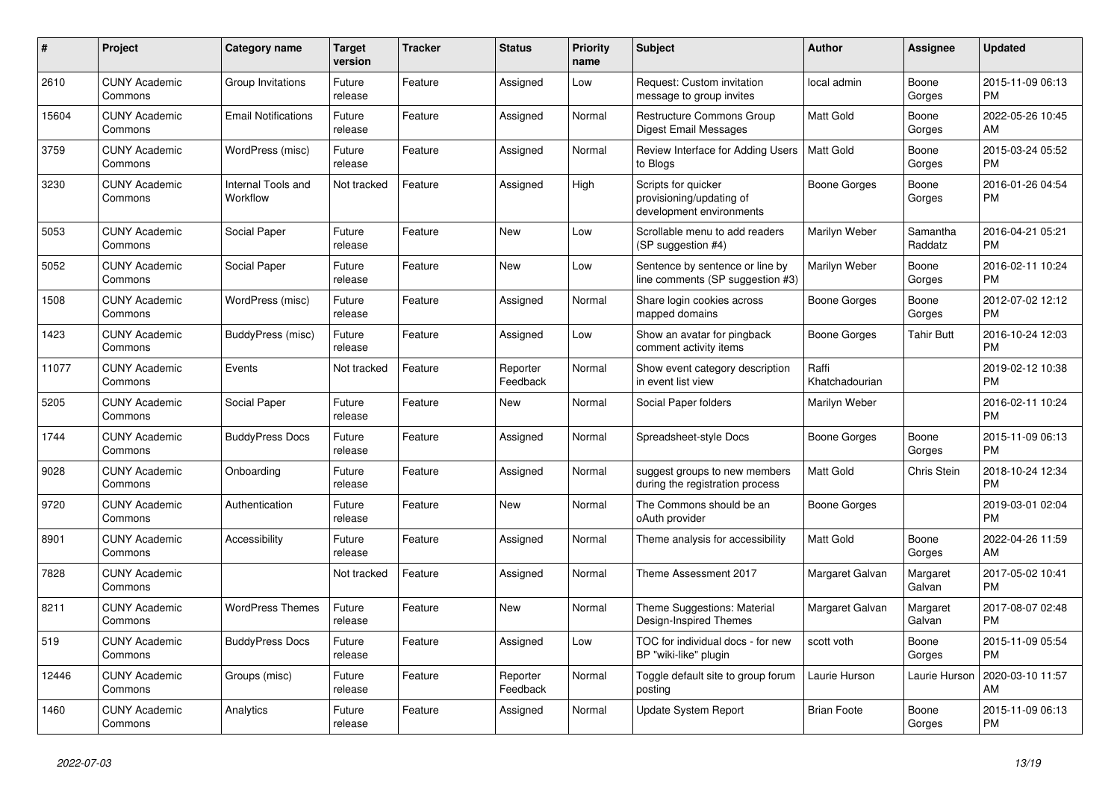| #     | <b>Project</b>                  | Category name                  | <b>Target</b><br>version | <b>Tracker</b> | <b>Status</b>        | Priority<br>name | <b>Subject</b>                                                              | <b>Author</b>           | Assignee            | <b>Updated</b>                |
|-------|---------------------------------|--------------------------------|--------------------------|----------------|----------------------|------------------|-----------------------------------------------------------------------------|-------------------------|---------------------|-------------------------------|
| 2610  | <b>CUNY Academic</b><br>Commons | Group Invitations              | Future<br>release        | Feature        | Assigned             | Low              | Request: Custom invitation<br>message to group invites                      | local admin             | Boone<br>Gorges     | 2015-11-09 06:13<br><b>PM</b> |
| 15604 | <b>CUNY Academic</b><br>Commons | <b>Email Notifications</b>     | Future<br>release        | Feature        | Assigned             | Normal           | <b>Restructure Commons Group</b><br>Digest Email Messages                   | <b>Matt Gold</b>        | Boone<br>Gorges     | 2022-05-26 10:45<br>AM        |
| 3759  | <b>CUNY Academic</b><br>Commons | WordPress (misc)               | Future<br>release        | Feature        | Assigned             | Normal           | Review Interface for Adding Users<br>to Blogs                               | <b>Matt Gold</b>        | Boone<br>Gorges     | 2015-03-24 05:52<br><b>PM</b> |
| 3230  | <b>CUNY Academic</b><br>Commons | Internal Tools and<br>Workflow | Not tracked              | Feature        | Assigned             | High             | Scripts for quicker<br>provisioning/updating of<br>development environments | <b>Boone Gorges</b>     | Boone<br>Gorges     | 2016-01-26 04:54<br><b>PM</b> |
| 5053  | <b>CUNY Academic</b><br>Commons | Social Paper                   | Future<br>release        | Feature        | <b>New</b>           | Low              | Scrollable menu to add readers<br>(SP suggestion #4)                        | Marilyn Weber           | Samantha<br>Raddatz | 2016-04-21 05:21<br><b>PM</b> |
| 5052  | <b>CUNY Academic</b><br>Commons | Social Paper                   | Future<br>release        | Feature        | New                  | Low              | Sentence by sentence or line by<br>line comments (SP suggestion #3)         | Marilyn Weber           | Boone<br>Gorges     | 2016-02-11 10:24<br><b>PM</b> |
| 1508  | <b>CUNY Academic</b><br>Commons | WordPress (misc)               | Future<br>release        | Feature        | Assigned             | Normal           | Share login cookies across<br>mapped domains                                | Boone Gorges            | Boone<br>Gorges     | 2012-07-02 12:12<br><b>PM</b> |
| 1423  | <b>CUNY Academic</b><br>Commons | BuddyPress (misc)              | Future<br>release        | Feature        | Assigned             | Low              | Show an avatar for pingback<br>comment activity items                       | Boone Gorges            | Tahir Butt          | 2016-10-24 12:03<br><b>PM</b> |
| 11077 | <b>CUNY Academic</b><br>Commons | Events                         | Not tracked              | Feature        | Reporter<br>Feedback | Normal           | Show event category description<br>in event list view                       | Raffi<br>Khatchadourian |                     | 2019-02-12 10:38<br><b>PM</b> |
| 5205  | <b>CUNY Academic</b><br>Commons | Social Paper                   | Future<br>release        | Feature        | <b>New</b>           | Normal           | Social Paper folders                                                        | Marilyn Weber           |                     | 2016-02-11 10:24<br><b>PM</b> |
| 1744  | <b>CUNY Academic</b><br>Commons | <b>BuddyPress Docs</b>         | Future<br>release        | Feature        | Assigned             | Normal           | Spreadsheet-style Docs                                                      | Boone Gorges            | Boone<br>Gorges     | 2015-11-09 06:13<br><b>PM</b> |
| 9028  | <b>CUNY Academic</b><br>Commons | Onboarding                     | Future<br>release        | Feature        | Assigned             | Normal           | suggest groups to new members<br>during the registration process            | <b>Matt Gold</b>        | <b>Chris Stein</b>  | 2018-10-24 12:34<br><b>PM</b> |
| 9720  | <b>CUNY Academic</b><br>Commons | Authentication                 | Future<br>release        | Feature        | <b>New</b>           | Normal           | The Commons should be an<br>oAuth provider                                  | Boone Gorges            |                     | 2019-03-01 02:04<br><b>PM</b> |
| 8901  | <b>CUNY Academic</b><br>Commons | Accessibility                  | Future<br>release        | Feature        | Assigned             | Normal           | Theme analysis for accessibility                                            | <b>Matt Gold</b>        | Boone<br>Gorges     | 2022-04-26 11:59<br>AM        |
| 7828  | <b>CUNY Academic</b><br>Commons |                                | Not tracked              | Feature        | Assigned             | Normal           | Theme Assessment 2017                                                       | Margaret Galvan         | Margaret<br>Galvan  | 2017-05-02 10:41<br><b>PM</b> |
| 8211  | <b>CUNY Academic</b><br>Commons | <b>WordPress Themes</b>        | Future<br>release        | Feature        | <b>New</b>           | Normal           | Theme Suggestions: Material<br>Design-Inspired Themes                       | Margaret Galvan         | Margaret<br>Galvan  | 2017-08-07 02:48<br><b>PM</b> |
| 519   | <b>CUNY Academic</b><br>Commons | <b>BuddyPress Docs</b>         | Future<br>release        | Feature        | Assigned             | Low              | TOC for individual docs - for new<br>BP "wiki-like" plugin                  | scott voth              | Boone<br>Gorges     | 2015-11-09 05:54<br><b>PM</b> |
| 12446 | <b>CUNY Academic</b><br>Commons | Groups (misc)                  | Future<br>release        | Feature        | Reporter<br>Feedback | Normal           | Toggle default site to group forum<br>posting                               | Laurie Hurson           | Laurie Hurson       | 2020-03-10 11:57<br>AM        |
| 1460  | <b>CUNY Academic</b><br>Commons | Analytics                      | Future<br>release        | Feature        | Assigned             | Normal           | Update System Report                                                        | <b>Brian Foote</b>      | Boone<br>Gorges     | 2015-11-09 06:13<br><b>PM</b> |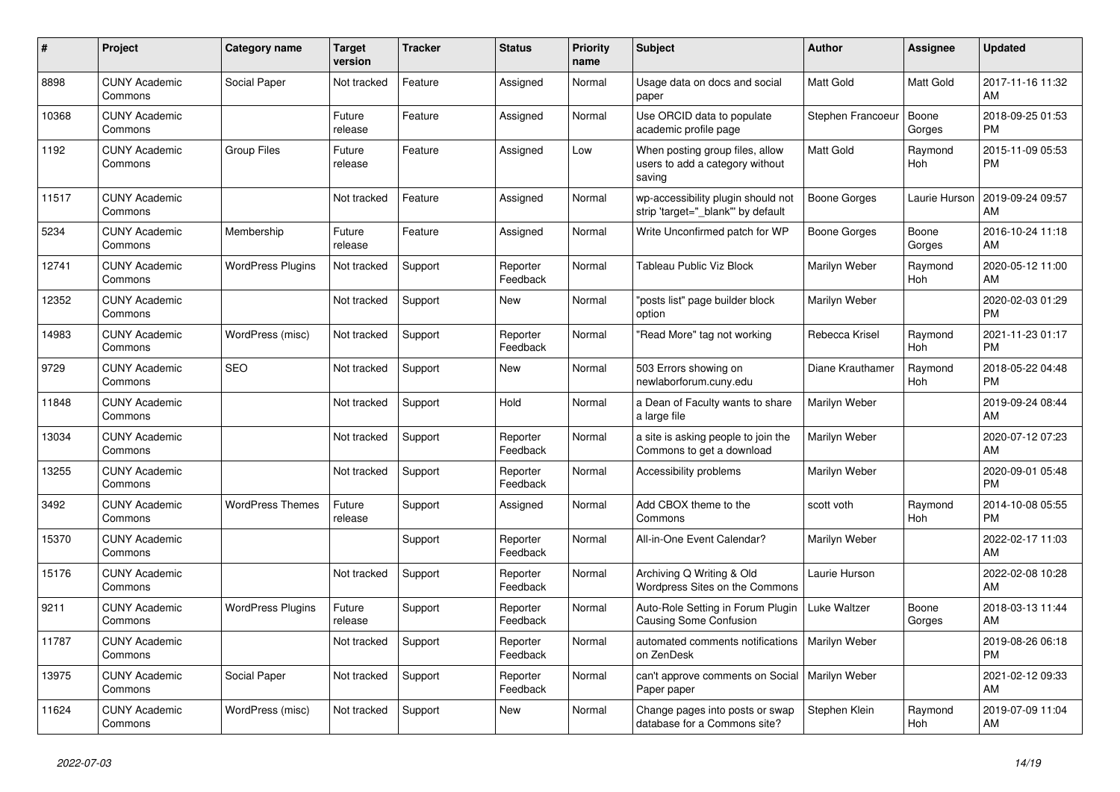| $\vert$ # | <b>Project</b>                  | Category name            | <b>Target</b><br>version | <b>Tracker</b> | <b>Status</b>        | <b>Priority</b><br>name | <b>Subject</b>                                                               | <b>Author</b>       | Assignee        | <b>Updated</b>                |
|-----------|---------------------------------|--------------------------|--------------------------|----------------|----------------------|-------------------------|------------------------------------------------------------------------------|---------------------|-----------------|-------------------------------|
| 8898      | <b>CUNY Academic</b><br>Commons | Social Paper             | Not tracked              | Feature        | Assigned             | Normal                  | Usage data on docs and social<br>paper                                       | <b>Matt Gold</b>    | Matt Gold       | 2017-11-16 11:32<br>AM        |
| 10368     | <b>CUNY Academic</b><br>Commons |                          | Future<br>release        | Feature        | Assigned             | Normal                  | Use ORCID data to populate<br>academic profile page                          | Stephen Francoeur   | Boone<br>Gorges | 2018-09-25 01:53<br><b>PM</b> |
| 1192      | <b>CUNY Academic</b><br>Commons | Group Files              | Future<br>release        | Feature        | Assigned             | Low                     | When posting group files, allow<br>users to add a category without<br>saving | <b>Matt Gold</b>    | Raymond<br>Hoh  | 2015-11-09 05:53<br><b>PM</b> |
| 11517     | <b>CUNY Academic</b><br>Commons |                          | Not tracked              | Feature        | Assigned             | Normal                  | wp-accessibility plugin should not<br>strip 'target=" blank" by default      | <b>Boone Gorges</b> | Laurie Hurson   | 2019-09-24 09:57<br>AM        |
| 5234      | <b>CUNY Academic</b><br>Commons | Membership               | Future<br>release        | Feature        | Assigned             | Normal                  | Write Unconfirmed patch for WP                                               | Boone Gorges        | Boone<br>Gorges | 2016-10-24 11:18<br>AM        |
| 12741     | <b>CUNY Academic</b><br>Commons | <b>WordPress Plugins</b> | Not tracked              | Support        | Reporter<br>Feedback | Normal                  | Tableau Public Viz Block                                                     | Marilyn Weber       | Raymond<br>Hoh  | 2020-05-12 11:00<br>AM        |
| 12352     | <b>CUNY Academic</b><br>Commons |                          | Not tracked              | Support        | <b>New</b>           | Normal                  | "posts list" page builder block<br>option                                    | Marilyn Weber       |                 | 2020-02-03 01:29<br><b>PM</b> |
| 14983     | <b>CUNY Academic</b><br>Commons | WordPress (misc)         | Not tracked              | Support        | Reporter<br>Feedback | Normal                  | 'Read More" tag not working                                                  | Rebecca Krisel      | Raymond<br>Hoh  | 2021-11-23 01:17<br><b>PM</b> |
| 9729      | <b>CUNY Academic</b><br>Commons | <b>SEO</b>               | Not tracked              | Support        | New                  | Normal                  | 503 Errors showing on<br>newlaborforum.cuny.edu                              | Diane Krauthamer    | Raymond<br>Hoh  | 2018-05-22 04:48<br><b>PM</b> |
| 11848     | <b>CUNY Academic</b><br>Commons |                          | Not tracked              | Support        | Hold                 | Normal                  | a Dean of Faculty wants to share<br>a large file                             | Marilyn Weber       |                 | 2019-09-24 08:44<br>AM        |
| 13034     | <b>CUNY Academic</b><br>Commons |                          | Not tracked              | Support        | Reporter<br>Feedback | Normal                  | a site is asking people to join the<br>Commons to get a download             | Marilyn Weber       |                 | 2020-07-12 07:23<br>AM        |
| 13255     | <b>CUNY Academic</b><br>Commons |                          | Not tracked              | Support        | Reporter<br>Feedback | Normal                  | Accessibility problems                                                       | Marilyn Weber       |                 | 2020-09-01 05:48<br><b>PM</b> |
| 3492      | <b>CUNY Academic</b><br>Commons | <b>WordPress Themes</b>  | Future<br>release        | Support        | Assigned             | Normal                  | Add CBOX theme to the<br>Commons                                             | scott voth          | Raymond<br>Hoh  | 2014-10-08 05:55<br><b>PM</b> |
| 15370     | <b>CUNY Academic</b><br>Commons |                          |                          | Support        | Reporter<br>Feedback | Normal                  | All-in-One Event Calendar?                                                   | Marilyn Weber       |                 | 2022-02-17 11:03<br>AM        |
| 15176     | <b>CUNY Academic</b><br>Commons |                          | Not tracked              | Support        | Reporter<br>Feedback | Normal                  | Archiving Q Writing & Old<br>Wordpress Sites on the Commons                  | Laurie Hurson       |                 | 2022-02-08 10:28<br>AM        |
| 9211      | <b>CUNY Academic</b><br>Commons | <b>WordPress Plugins</b> | Future<br>release        | Support        | Reporter<br>Feedback | Normal                  | Auto-Role Setting in Forum Plugin<br><b>Causing Some Confusion</b>           | Luke Waltzer        | Boone<br>Gorges | 2018-03-13 11:44<br>AM        |
| 11787     | <b>CUNY Academic</b><br>Commons |                          | Not tracked              | Support        | Reporter<br>Feedback | Normal                  | automated comments notifications<br>on ZenDesk                               | Marilyn Weber       |                 | 2019-08-26 06:18<br><b>PM</b> |
| 13975     | <b>CUNY Academic</b><br>Commons | Social Paper             | Not tracked              | Support        | Reporter<br>Feedback | Normal                  | can't approve comments on Social   Marilyn Weber<br>Paper paper              |                     |                 | 2021-02-12 09:33<br>AM        |
| 11624     | <b>CUNY Academic</b><br>Commons | WordPress (misc)         | Not tracked              | Support        | <b>New</b>           | Normal                  | Change pages into posts or swap<br>database for a Commons site?              | Stephen Klein       | Raymond<br>Hoh  | 2019-07-09 11:04<br>AM        |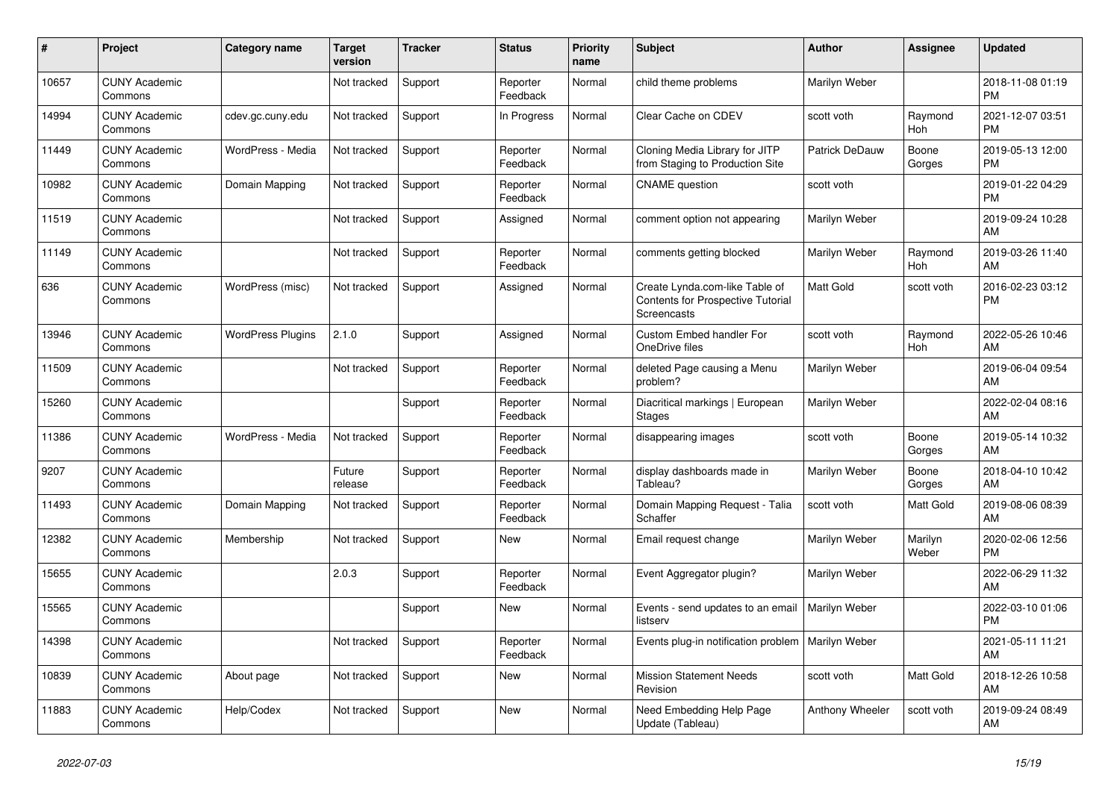| #     | Project                         | <b>Category name</b>     | <b>Target</b><br>version | <b>Tracker</b> | <b>Status</b>        | <b>Priority</b><br>name | <b>Subject</b>                                                                                   | <b>Author</b>    | <b>Assignee</b>  | <b>Updated</b>                |
|-------|---------------------------------|--------------------------|--------------------------|----------------|----------------------|-------------------------|--------------------------------------------------------------------------------------------------|------------------|------------------|-------------------------------|
| 10657 | <b>CUNY Academic</b><br>Commons |                          | Not tracked              | Support        | Reporter<br>Feedback | Normal                  | child theme problems                                                                             | Marilyn Weber    |                  | 2018-11-08 01:19<br><b>PM</b> |
| 14994 | <b>CUNY Academic</b><br>Commons | cdev.gc.cuny.edu         | Not tracked              | Support        | In Progress          | Normal                  | Clear Cache on CDEV                                                                              | scott voth       | Raymond<br>Hoh   | 2021-12-07 03:51<br><b>PM</b> |
| 11449 | <b>CUNY Academic</b><br>Commons | WordPress - Media        | Not tracked              | Support        | Reporter<br>Feedback | Normal                  | Cloning Media Library for JITP<br>from Staging to Production Site                                | Patrick DeDauw   | Boone<br>Gorges  | 2019-05-13 12:00<br><b>PM</b> |
| 10982 | <b>CUNY Academic</b><br>Commons | Domain Mapping           | Not tracked              | Support        | Reporter<br>Feedback | Normal                  | <b>CNAME</b> question                                                                            | scott voth       |                  | 2019-01-22 04:29<br><b>PM</b> |
| 11519 | <b>CUNY Academic</b><br>Commons |                          | Not tracked              | Support        | Assigned             | Normal                  | comment option not appearing                                                                     | Marilyn Weber    |                  | 2019-09-24 10:28<br>AM        |
| 11149 | <b>CUNY Academic</b><br>Commons |                          | Not tracked              | Support        | Reporter<br>Feedback | Normal                  | comments getting blocked                                                                         | Marilyn Weber    | Raymond<br>Hoh   | 2019-03-26 11:40<br>AM        |
| 636   | <b>CUNY Academic</b><br>Commons | WordPress (misc)         | Not tracked              | Support        | Assigned             | Normal                  | Create Lynda.com-like Table of<br><b>Contents for Prospective Tutorial</b><br><b>Screencasts</b> | <b>Matt Gold</b> | scott voth       | 2016-02-23 03:12<br><b>PM</b> |
| 13946 | <b>CUNY Academic</b><br>Commons | <b>WordPress Plugins</b> | 2.1.0                    | Support        | Assigned             | Normal                  | <b>Custom Embed handler For</b><br>OneDrive files                                                | scott voth       | Raymond<br>Hoh   | 2022-05-26 10:46<br>AM        |
| 11509 | <b>CUNY Academic</b><br>Commons |                          | Not tracked              | Support        | Reporter<br>Feedback | Normal                  | deleted Page causing a Menu<br>problem?                                                          | Marilyn Weber    |                  | 2019-06-04 09:54<br>AM        |
| 15260 | <b>CUNY Academic</b><br>Commons |                          |                          | Support        | Reporter<br>Feedback | Normal                  | Diacritical markings   European<br><b>Stages</b>                                                 | Marilyn Weber    |                  | 2022-02-04 08:16<br>AM        |
| 11386 | <b>CUNY Academic</b><br>Commons | WordPress - Media        | Not tracked              | Support        | Reporter<br>Feedback | Normal                  | disappearing images                                                                              | scott voth       | Boone<br>Gorges  | 2019-05-14 10:32<br>AM        |
| 9207  | <b>CUNY Academic</b><br>Commons |                          | Future<br>release        | Support        | Reporter<br>Feedback | Normal                  | display dashboards made in<br>Tableau?                                                           | Marilyn Weber    | Boone<br>Gorges  | 2018-04-10 10:42<br>AM        |
| 11493 | <b>CUNY Academic</b><br>Commons | Domain Mapping           | Not tracked              | Support        | Reporter<br>Feedback | Normal                  | Domain Mapping Request - Talia<br>Schaffer                                                       | scott voth       | Matt Gold        | 2019-08-06 08:39<br>AM        |
| 12382 | <b>CUNY Academic</b><br>Commons | Membership               | Not tracked              | Support        | New                  | Normal                  | Email request change                                                                             | Marilyn Weber    | Marilyn<br>Weber | 2020-02-06 12:56<br><b>PM</b> |
| 15655 | <b>CUNY Academic</b><br>Commons |                          | 2.0.3                    | Support        | Reporter<br>Feedback | Normal                  | Event Aggregator plugin?                                                                         | Marilyn Weber    |                  | 2022-06-29 11:32<br>AM        |
| 15565 | <b>CUNY Academic</b><br>Commons |                          |                          | Support        | <b>New</b>           | Normal                  | Events - send updates to an email<br>listserv                                                    | Marilyn Weber    |                  | 2022-03-10 01:06<br><b>PM</b> |
| 14398 | <b>CUNY Academic</b><br>Commons |                          | Not tracked              | Support        | Reporter<br>Feedback | Normal                  | Events plug-in notification problem   Marilyn Weber                                              |                  |                  | 2021-05-11 11:21<br>AM        |
| 10839 | <b>CUNY Academic</b><br>Commons | About page               | Not tracked              | Support        | <b>New</b>           | Normal                  | <b>Mission Statement Needs</b><br>Revision                                                       | scott voth       | Matt Gold        | 2018-12-26 10:58<br>AM        |
| 11883 | <b>CUNY Academic</b><br>Commons | Help/Codex               | Not tracked              | Support        | <b>New</b>           | Normal                  | Need Embedding Help Page<br>Update (Tableau)                                                     | Anthony Wheeler  | scott voth       | 2019-09-24 08:49<br>AM        |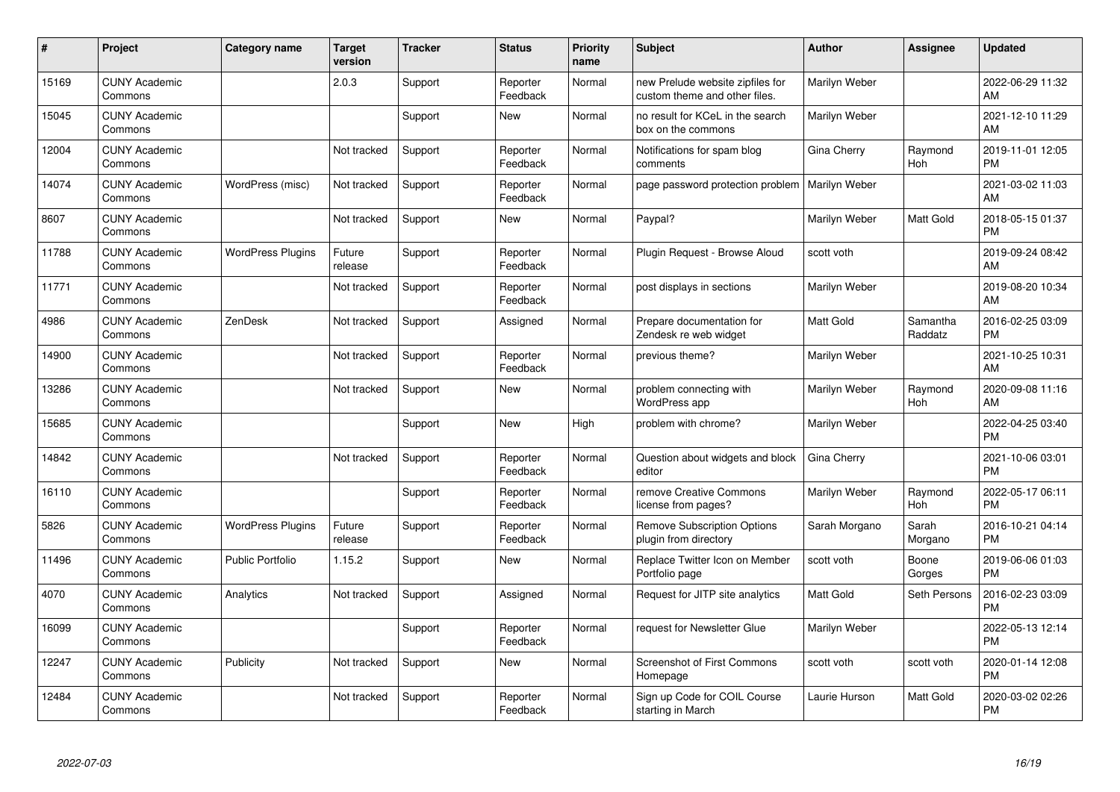| #     | Project                         | <b>Category name</b>     | <b>Target</b><br>version | <b>Tracker</b> | <b>Status</b>        | <b>Priority</b><br>name | <b>Subject</b>                                                    | <b>Author</b>    | <b>Assignee</b>     | <b>Updated</b>                |
|-------|---------------------------------|--------------------------|--------------------------|----------------|----------------------|-------------------------|-------------------------------------------------------------------|------------------|---------------------|-------------------------------|
| 15169 | <b>CUNY Academic</b><br>Commons |                          | 2.0.3                    | Support        | Reporter<br>Feedback | Normal                  | new Prelude website zipfiles for<br>custom theme and other files. | Marilyn Weber    |                     | 2022-06-29 11:32<br>AM        |
| 15045 | <b>CUNY Academic</b><br>Commons |                          |                          | Support        | <b>New</b>           | Normal                  | no result for KCeL in the search<br>box on the commons            | Marilyn Weber    |                     | 2021-12-10 11:29<br>AM        |
| 12004 | <b>CUNY Academic</b><br>Commons |                          | Not tracked              | Support        | Reporter<br>Feedback | Normal                  | Notifications for spam blog<br>comments                           | Gina Cherry      | Raymond<br>Hoh      | 2019-11-01 12:05<br><b>PM</b> |
| 14074 | <b>CUNY Academic</b><br>Commons | WordPress (misc)         | Not tracked              | Support        | Reporter<br>Feedback | Normal                  | page password protection problem                                  | Marilyn Weber    |                     | 2021-03-02 11:03<br>AM        |
| 8607  | <b>CUNY Academic</b><br>Commons |                          | Not tracked              | Support        | <b>New</b>           | Normal                  | Paypal?                                                           | Marilyn Weber    | Matt Gold           | 2018-05-15 01:37<br><b>PM</b> |
| 11788 | <b>CUNY Academic</b><br>Commons | <b>WordPress Plugins</b> | Future<br>release        | Support        | Reporter<br>Feedback | Normal                  | Plugin Request - Browse Aloud                                     | scott voth       |                     | 2019-09-24 08:42<br><b>AM</b> |
| 11771 | <b>CUNY Academic</b><br>Commons |                          | Not tracked              | Support        | Reporter<br>Feedback | Normal                  | post displays in sections                                         | Marilyn Weber    |                     | 2019-08-20 10:34<br>AM        |
| 4986  | <b>CUNY Academic</b><br>Commons | ZenDesk                  | Not tracked              | Support        | Assigned             | Normal                  | Prepare documentation for<br>Zendesk re web widget                | <b>Matt Gold</b> | Samantha<br>Raddatz | 2016-02-25 03:09<br><b>PM</b> |
| 14900 | <b>CUNY Academic</b><br>Commons |                          | Not tracked              | Support        | Reporter<br>Feedback | Normal                  | previous theme?                                                   | Marilyn Weber    |                     | 2021-10-25 10:31<br>AM        |
| 13286 | <b>CUNY Academic</b><br>Commons |                          | Not tracked              | Support        | New                  | Normal                  | problem connecting with<br>WordPress app                          | Marilyn Weber    | Raymond<br>Hoh      | 2020-09-08 11:16<br>AM.       |
| 15685 | <b>CUNY Academic</b><br>Commons |                          |                          | Support        | New                  | High                    | problem with chrome?                                              | Marilyn Weber    |                     | 2022-04-25 03:40<br><b>PM</b> |
| 14842 | <b>CUNY Academic</b><br>Commons |                          | Not tracked              | Support        | Reporter<br>Feedback | Normal                  | Question about widgets and block<br>editor                        | Gina Cherry      |                     | 2021-10-06 03:01<br><b>PM</b> |
| 16110 | <b>CUNY Academic</b><br>Commons |                          |                          | Support        | Reporter<br>Feedback | Normal                  | remove Creative Commons<br>license from pages?                    | Marilyn Weber    | Raymond<br>Hoh      | 2022-05-17 06:11<br><b>PM</b> |
| 5826  | <b>CUNY Academic</b><br>Commons | <b>WordPress Plugins</b> | Future<br>release        | Support        | Reporter<br>Feedback | Normal                  | <b>Remove Subscription Options</b><br>plugin from directory       | Sarah Morgano    | Sarah<br>Morgano    | 2016-10-21 04:14<br><b>PM</b> |
| 11496 | <b>CUNY Academic</b><br>Commons | Public Portfolio         | 1.15.2                   | Support        | New                  | Normal                  | Replace Twitter Icon on Member<br>Portfolio page                  | scott voth       | Boone<br>Gorges     | 2019-06-06 01:03<br><b>PM</b> |
| 4070  | <b>CUNY Academic</b><br>Commons | Analytics                | Not tracked              | Support        | Assigned             | Normal                  | Request for JITP site analytics                                   | <b>Matt Gold</b> | Seth Persons        | 2016-02-23 03:09<br><b>PM</b> |
| 16099 | <b>CUNY Academic</b><br>Commons |                          |                          | Support        | Reporter<br>Feedback | Normal                  | request for Newsletter Glue                                       | Marilyn Weber    |                     | 2022-05-13 12:14<br><b>PM</b> |
| 12247 | <b>CUNY Academic</b><br>Commons | Publicity                | Not tracked              | Support        | New                  | Normal                  | Screenshot of First Commons<br>Homepage                           | scott voth       | scott voth          | 2020-01-14 12:08<br><b>PM</b> |
| 12484 | <b>CUNY Academic</b><br>Commons |                          | Not tracked              | Support        | Reporter<br>Feedback | Normal                  | Sign up Code for COIL Course<br>starting in March                 | Laurie Hurson    | Matt Gold           | 2020-03-02 02:26<br><b>PM</b> |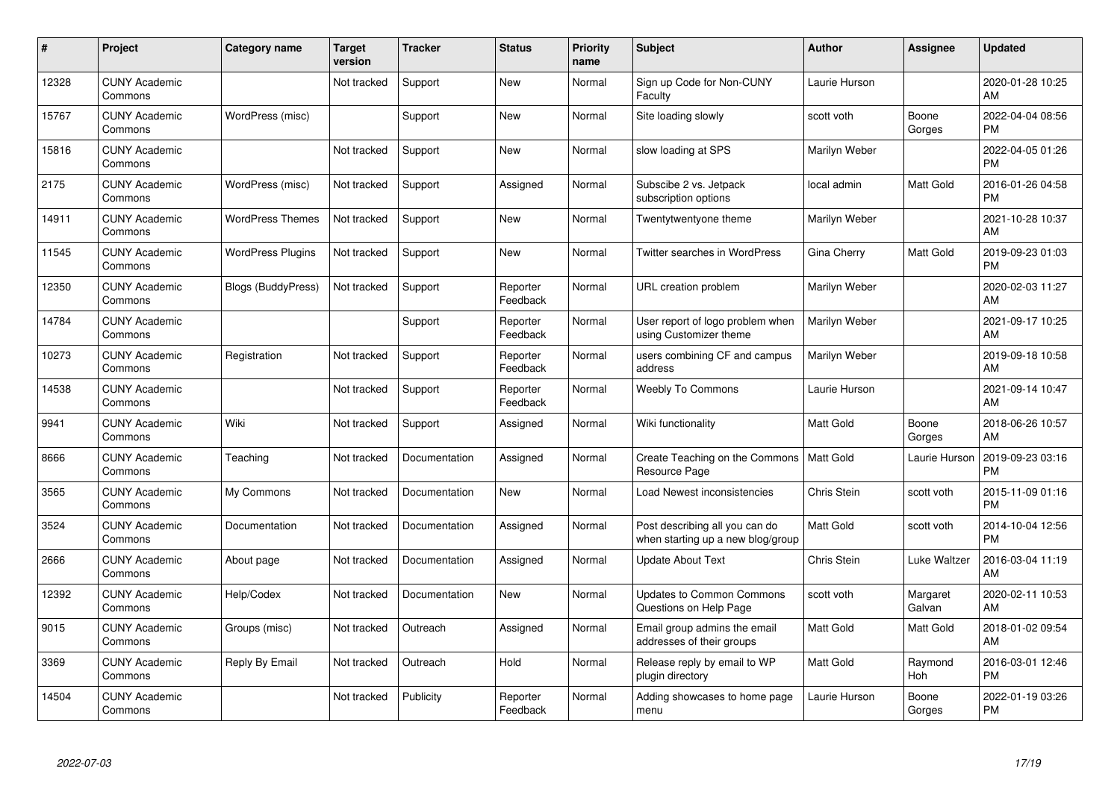| #     | Project                         | <b>Category name</b>      | <b>Target</b><br>version | <b>Tracker</b> | <b>Status</b>        | <b>Priority</b><br>name | <b>Subject</b>                                                      | <b>Author</b>    | <b>Assignee</b>    | <b>Updated</b>                |
|-------|---------------------------------|---------------------------|--------------------------|----------------|----------------------|-------------------------|---------------------------------------------------------------------|------------------|--------------------|-------------------------------|
| 12328 | <b>CUNY Academic</b><br>Commons |                           | Not tracked              | Support        | <b>New</b>           | Normal                  | Sign up Code for Non-CUNY<br>Faculty                                | Laurie Hurson    |                    | 2020-01-28 10:25<br>AM        |
| 15767 | <b>CUNY Academic</b><br>Commons | WordPress (misc)          |                          | Support        | <b>New</b>           | Normal                  | Site loading slowly                                                 | scott voth       | Boone<br>Gorges    | 2022-04-04 08:56<br><b>PM</b> |
| 15816 | <b>CUNY Academic</b><br>Commons |                           | Not tracked              | Support        | <b>New</b>           | Normal                  | slow loading at SPS                                                 | Marilyn Weber    |                    | 2022-04-05 01:26<br><b>PM</b> |
| 2175  | <b>CUNY Academic</b><br>Commons | WordPress (misc)          | Not tracked              | Support        | Assigned             | Normal                  | Subscibe 2 vs. Jetpack<br>subscription options                      | local admin      | Matt Gold          | 2016-01-26 04:58<br><b>PM</b> |
| 14911 | <b>CUNY Academic</b><br>Commons | <b>WordPress Themes</b>   | Not tracked              | Support        | <b>New</b>           | Normal                  | Twentytwentyone theme                                               | Marilyn Weber    |                    | 2021-10-28 10:37<br>AM        |
| 11545 | <b>CUNY Academic</b><br>Commons | <b>WordPress Plugins</b>  | Not tracked              | Support        | <b>New</b>           | Normal                  | <b>Twitter searches in WordPress</b>                                | Gina Cherry      | Matt Gold          | 2019-09-23 01:03<br><b>PM</b> |
| 12350 | <b>CUNY Academic</b><br>Commons | <b>Blogs (BuddyPress)</b> | Not tracked              | Support        | Reporter<br>Feedback | Normal                  | URL creation problem                                                | Marilyn Weber    |                    | 2020-02-03 11:27<br>AM        |
| 14784 | <b>CUNY Academic</b><br>Commons |                           |                          | Support        | Reporter<br>Feedback | Normal                  | User report of logo problem when<br>using Customizer theme          | Marilyn Weber    |                    | 2021-09-17 10:25<br>AM        |
| 10273 | <b>CUNY Academic</b><br>Commons | Registration              | Not tracked              | Support        | Reporter<br>Feedback | Normal                  | users combining CF and campus<br>address                            | Marilyn Weber    |                    | 2019-09-18 10:58<br>AM        |
| 14538 | <b>CUNY Academic</b><br>Commons |                           | Not tracked              | Support        | Reporter<br>Feedback | Normal                  | <b>Weebly To Commons</b>                                            | Laurie Hurson    |                    | 2021-09-14 10:47<br>AM        |
| 9941  | <b>CUNY Academic</b><br>Commons | Wiki                      | Not tracked              | Support        | Assigned             | Normal                  | Wiki functionality                                                  | <b>Matt Gold</b> | Boone<br>Gorges    | 2018-06-26 10:57<br>AM        |
| 8666  | <b>CUNY Academic</b><br>Commons | Teaching                  | Not tracked              | Documentation  | Assigned             | Normal                  | Create Teaching on the Commons<br>Resource Page                     | Matt Gold        | Laurie Hurson      | 2019-09-23 03:16<br><b>PM</b> |
| 3565  | <b>CUNY Academic</b><br>Commons | My Commons                | Not tracked              | Documentation  | New                  | Normal                  | Load Newest inconsistencies                                         | Chris Stein      | scott voth         | 2015-11-09 01:16<br><b>PM</b> |
| 3524  | <b>CUNY Academic</b><br>Commons | Documentation             | Not tracked              | Documentation  | Assigned             | Normal                  | Post describing all you can do<br>when starting up a new blog/group | <b>Matt Gold</b> | scott voth         | 2014-10-04 12:56<br><b>PM</b> |
| 2666  | <b>CUNY Academic</b><br>Commons | About page                | Not tracked              | Documentation  | Assigned             | Normal                  | Update About Text                                                   | Chris Stein      | Luke Waltzer       | 2016-03-04 11:19<br>AM        |
| 12392 | <b>CUNY Academic</b><br>Commons | Help/Codex                | Not tracked              | Documentation  | New                  | Normal                  | Updates to Common Commons<br>Questions on Help Page                 | scott voth       | Margaret<br>Galvan | 2020-02-11 10:53<br>AM        |
| 9015  | <b>CUNY Academic</b><br>Commons | Groups (misc)             | Not tracked              | Outreach       | Assigned             | Normal                  | Email group admins the email<br>addresses of their groups           | <b>Matt Gold</b> | Matt Gold          | 2018-01-02 09:54<br>AM        |
| 3369  | <b>CUNY Academic</b><br>Commons | Reply By Email            | Not tracked              | Outreach       | Hold                 | Normal                  | Release reply by email to WP<br>plugin directory                    | <b>Matt Gold</b> | Raymond<br>Hoh     | 2016-03-01 12:46<br><b>PM</b> |
| 14504 | <b>CUNY Academic</b><br>Commons |                           | Not tracked              | Publicity      | Reporter<br>Feedback | Normal                  | Adding showcases to home page<br>menu                               | Laurie Hurson    | Boone<br>Gorges    | 2022-01-19 03:26<br><b>PM</b> |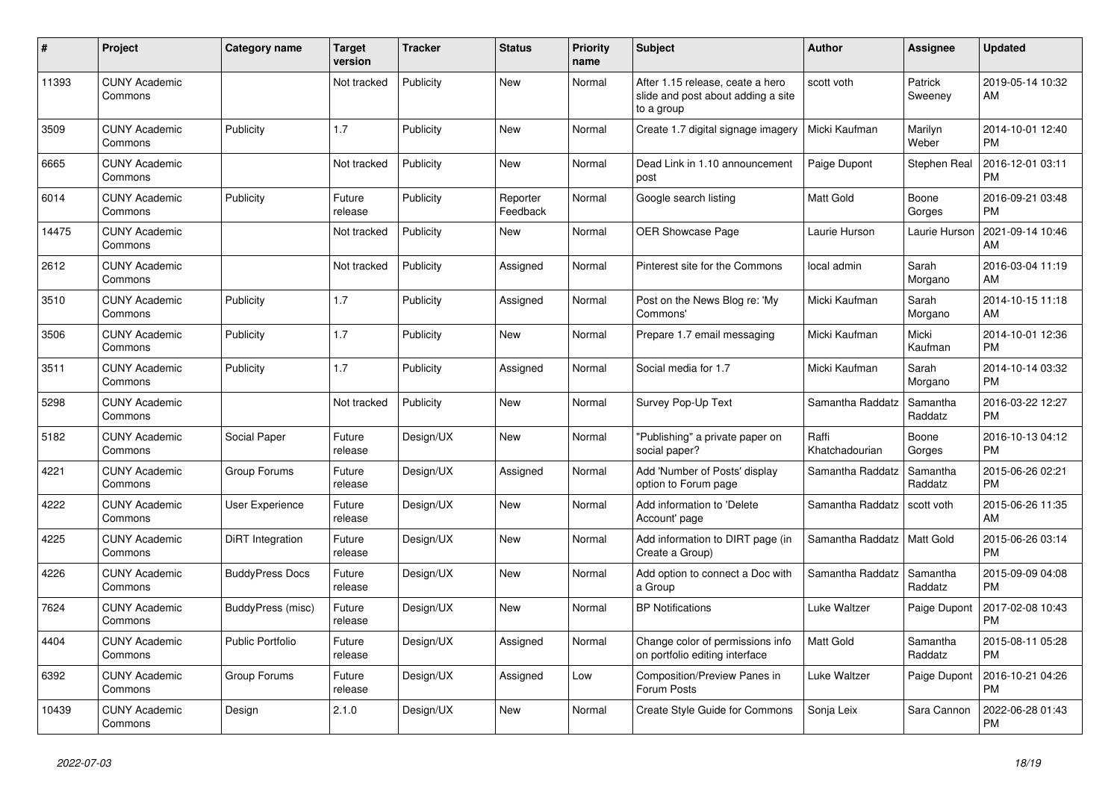| #     | <b>Project</b>                  | Category name           | <b>Target</b><br>version | <b>Tracker</b> | <b>Status</b>        | <b>Priority</b><br>name | <b>Subject</b>                                                                       | <b>Author</b>           | Assignee            | <b>Updated</b>                |
|-------|---------------------------------|-------------------------|--------------------------|----------------|----------------------|-------------------------|--------------------------------------------------------------------------------------|-------------------------|---------------------|-------------------------------|
| 11393 | <b>CUNY Academic</b><br>Commons |                         | Not tracked              | Publicity      | <b>New</b>           | Normal                  | After 1.15 release, ceate a hero<br>slide and post about adding a site<br>to a group | scott voth              | Patrick<br>Sweeney  | 2019-05-14 10:32<br>AM        |
| 3509  | <b>CUNY Academic</b><br>Commons | Publicity               | 1.7                      | Publicity      | New                  | Normal                  | Create 1.7 digital signage imagery                                                   | Micki Kaufman           | Marilyn<br>Weber    | 2014-10-01 12:40<br><b>PM</b> |
| 6665  | <b>CUNY Academic</b><br>Commons |                         | Not tracked              | Publicity      | <b>New</b>           | Normal                  | Dead Link in 1.10 announcement<br>post                                               | Paige Dupont            | Stephen Real        | 2016-12-01 03:11<br><b>PM</b> |
| 6014  | <b>CUNY Academic</b><br>Commons | Publicity               | Future<br>release        | Publicity      | Reporter<br>Feedback | Normal                  | Google search listing                                                                | <b>Matt Gold</b>        | Boone<br>Gorges     | 2016-09-21 03:48<br><b>PM</b> |
| 14475 | <b>CUNY Academic</b><br>Commons |                         | Not tracked              | Publicity      | New                  | Normal                  | <b>OER Showcase Page</b>                                                             | Laurie Hurson           | Laurie Hurson       | 2021-09-14 10:46<br>AM        |
| 2612  | <b>CUNY Academic</b><br>Commons |                         | Not tracked              | Publicity      | Assigned             | Normal                  | Pinterest site for the Commons                                                       | local admin             | Sarah<br>Morgano    | 2016-03-04 11:19<br>AM        |
| 3510  | <b>CUNY Academic</b><br>Commons | Publicity               | 1.7                      | Publicity      | Assigned             | Normal                  | Post on the News Blog re: 'My<br>Commons'                                            | Micki Kaufman           | Sarah<br>Morgano    | 2014-10-15 11:18<br>AM        |
| 3506  | <b>CUNY Academic</b><br>Commons | Publicity               | 1.7                      | Publicity      | New                  | Normal                  | Prepare 1.7 email messaging                                                          | Micki Kaufman           | Micki<br>Kaufman    | 2014-10-01 12:36<br><b>PM</b> |
| 3511  | <b>CUNY Academic</b><br>Commons | Publicity               | 1.7                      | Publicity      | Assigned             | Normal                  | Social media for 1.7                                                                 | Micki Kaufman           | Sarah<br>Morgano    | 2014-10-14 03:32<br><b>PM</b> |
| 5298  | <b>CUNY Academic</b><br>Commons |                         | Not tracked              | Publicity      | <b>New</b>           | Normal                  | Survey Pop-Up Text                                                                   | Samantha Raddatz        | Samantha<br>Raddatz | 2016-03-22 12:27<br><b>PM</b> |
| 5182  | <b>CUNY Academic</b><br>Commons | Social Paper            | Future<br>release        | Design/UX      | New                  | Normal                  | "Publishing" a private paper on<br>social paper?                                     | Raffi<br>Khatchadourian | Boone<br>Gorges     | 2016-10-13 04:12<br><b>PM</b> |
| 4221  | <b>CUNY Academic</b><br>Commons | Group Forums            | Future<br>release        | Design/UX      | Assigned             | Normal                  | Add 'Number of Posts' display<br>option to Forum page                                | Samantha Raddatz        | Samantha<br>Raddatz | 2015-06-26 02:21<br><b>PM</b> |
| 4222  | <b>CUNY Academic</b><br>Commons | <b>User Experience</b>  | Future<br>release        | Design/UX      | <b>New</b>           | Normal                  | Add information to 'Delete<br>Account' page                                          | Samantha Raddatz        | scott voth          | 2015-06-26 11:35<br>AM        |
| 4225  | <b>CUNY Academic</b><br>Commons | DiRT Integration        | Future<br>release        | Design/UX      | <b>New</b>           | Normal                  | Add information to DIRT page (in<br>Create a Group)                                  | Samantha Raddatz        | Matt Gold           | 2015-06-26 03:14<br><b>PM</b> |
| 4226  | <b>CUNY Academic</b><br>Commons | <b>BuddyPress Docs</b>  | Future<br>release        | Design/UX      | <b>New</b>           | Normal                  | Add option to connect a Doc with<br>a Group                                          | Samantha Raddatz        | Samantha<br>Raddatz | 2015-09-09 04:08<br><b>PM</b> |
| 7624  | <b>CUNY Academic</b><br>Commons | BuddyPress (misc)       | Future<br>release        | Design/UX      | New                  | Normal                  | <b>BP</b> Notifications                                                              | Luke Waltzer            | Paige Dupont        | 2017-02-08 10:43<br><b>PM</b> |
| 4404  | <b>CUNY Academic</b><br>Commons | <b>Public Portfolio</b> | Future<br>release        | Design/UX      | Assigned             | Normal                  | Change color of permissions info<br>on portfolio editing interface                   | <b>Matt Gold</b>        | Samantha<br>Raddatz | 2015-08-11 05:28<br><b>PM</b> |
| 6392  | <b>CUNY Academic</b><br>Commons | Group Forums            | Future<br>release        | Design/UX      | Assigned             | Low                     | Composition/Preview Panes in<br>Forum Posts                                          | Luke Waltzer            | Paige Dupont        | 2016-10-21 04:26<br><b>PM</b> |
| 10439 | <b>CUNY Academic</b><br>Commons | Design                  | 2.1.0                    | Design/UX      | <b>New</b>           | Normal                  | Create Style Guide for Commons                                                       | Sonja Leix              | Sara Cannon         | 2022-06-28 01:43<br><b>PM</b> |